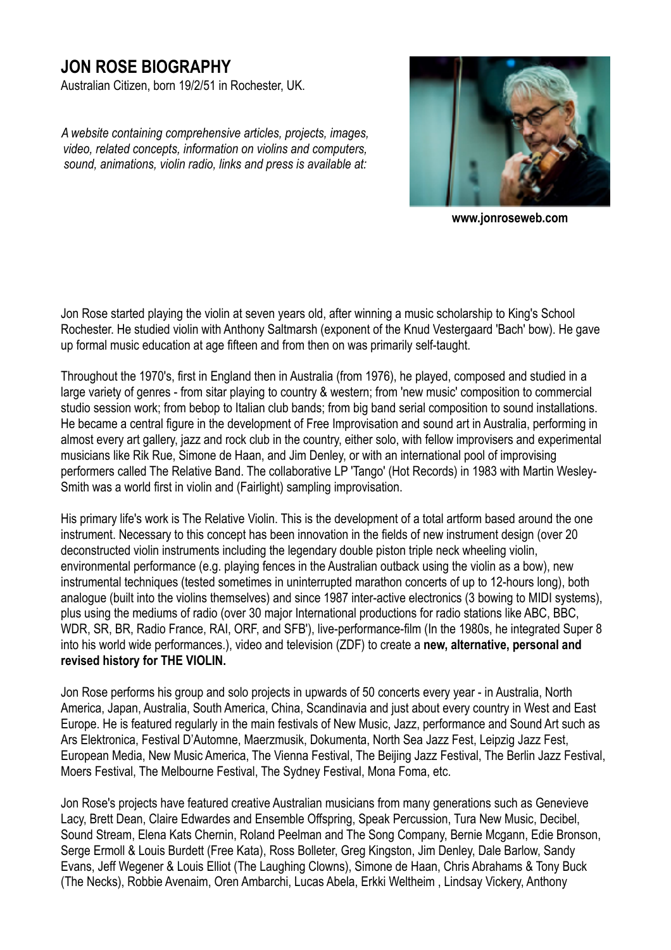# **JON ROSE BIOGRAPHY**

Australian Citizen, born 19/2/51 in Rochester, UK.

*A website containing comprehensive articles, projects, images, video, related concepts, information on violins and computers, sound, animations, violin radio, links and press is available at:* 



**www.jonroseweb.com** 

Jon Rose started playing the violin at seven years old, after winning a music scholarship to King's School Rochester. He studied violin with Anthony Saltmarsh (exponent of the Knud Vestergaard 'Bach' bow). He gave up formal music education at age fifteen and from then on was primarily self-taught.

Throughout the 1970's, first in England then in Australia (from 1976), he played, composed and studied in a large variety of genres - from sitar playing to country & western; from 'new music' composition to commercial studio session work; from bebop to Italian club bands; from big band serial composition to sound installations. He became a central figure in the development of Free Improvisation and sound art in Australia, performing in almost every art gallery, jazz and rock club in the country, either solo, with fellow improvisers and experimental musicians like Rik Rue, Simone de Haan, and Jim Denley, or with an international pool of improvising performers called The Relative Band. The collaborative LP 'Tango' (Hot Records) in 1983 with Martin Wesley-Smith was a world first in violin and (Fairlight) sampling improvisation.

His primary life's work is The Relative Violin. This is the development of a total artform based around the one instrument. Necessary to this concept has been innovation in the fields of new instrument design (over 20 deconstructed violin instruments including the legendary double piston triple neck wheeling violin, environmental performance (e.g. playing fences in the Australian outback using the violin as a bow), new instrumental techniques (tested sometimes in uninterrupted marathon concerts of up to 12-hours long), both analogue (built into the violins themselves) and since 1987 inter-active electronics (3 bowing to MIDI systems), plus using the mediums of radio (over 30 major International productions for radio stations like ABC, BBC, WDR, SR, BR, Radio France, RAI, ORF, and SFB'), live-performance-film (In the 1980s, he integrated Super 8 into his world wide performances.), video and television (ZDF) to create a **new, alternative, personal and revised history for THE VIOLIN.** 

Jon Rose performs his group and solo projects in upwards of 50 concerts every year - in Australia, North America, Japan, Australia, South America, China, Scandinavia and just about every country in West and East Europe. He is featured regularly in the main festivals of New Music, Jazz, performance and Sound Art such as Ars Elektronica, Festival D'Automne, Maerzmusik, Dokumenta, North Sea Jazz Fest, Leipzig Jazz Fest, European Media, New Music America, The Vienna Festival, The Beijing Jazz Festival, The Berlin Jazz Festival, Moers Festival, The Melbourne Festival, The Sydney Festival, Mona Foma, etc.

Jon Rose's projects have featured creative Australian musicians from many generations such as Genevieve Lacy, Brett Dean, Claire Edwardes and Ensemble Offspring, Speak Percussion, Tura New Music, Decibel, Sound Stream, Elena Kats Chernin, Roland Peelman and The Song Company, Bernie Mcgann, Edie Bronson, Serge Ermoll & Louis Burdett (Free Kata), Ross Bolleter, Greg Kingston, Jim Denley, Dale Barlow, Sandy Evans, Jeff Wegener & Louis Elliot (The Laughing Clowns), Simone de Haan, Chris Abrahams & Tony Buck (The Necks), Robbie Avenaim, Oren Ambarchi, Lucas Abela, Erkki Weltheim , Lindsay Vickery, Anthony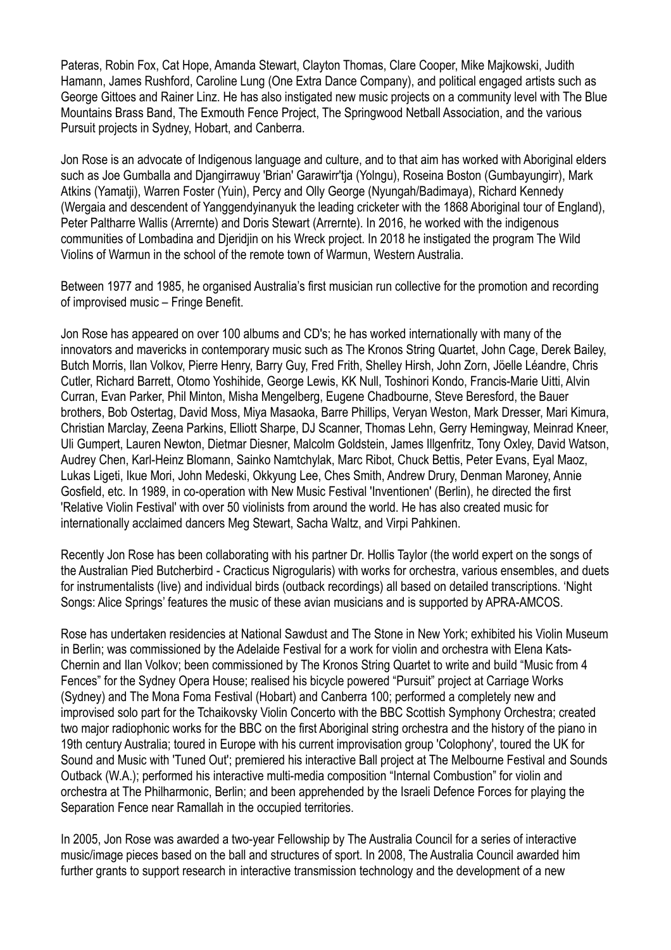Pateras, Robin Fox, Cat Hope, Amanda Stewart, Clayton Thomas, Clare Cooper, Mike Majkowski, Judith Hamann, James Rushford, Caroline Lung (One Extra Dance Company), and political engaged artists such as George Gittoes and Rainer Linz. He has also instigated new music projects on a community level with The Blue Mountains Brass Band, The Exmouth Fence Project, The Springwood Netball Association, and the various Pursuit projects in Sydney, Hobart, and Canberra.

Jon Rose is an advocate of Indigenous language and culture, and to that aim has worked with Aboriginal elders such as Joe Gumballa and Djangirrawuy 'Brian' Garawirr'tja (Yolngu), Roseina Boston (Gumbayungirr), Mark Atkins (Yamatji), Warren Foster (Yuin), Percy and Olly George (Nyungah/Badimaya), Richard Kennedy (Wergaia and descendent of Yanggendyinanyuk the leading cricketer with the 1868 Aboriginal tour of England), Peter Paltharre Wallis (Arrernte) and Doris Stewart (Arrernte). In 2016, he worked with the indigenous communities of Lombadina and Djeridjin on his Wreck project. In 2018 he instigated the program The Wild Violins of Warmun in the school of the remote town of Warmun, Western Australia.

Between 1977 and 1985, he organised Australia's first musician run collective for the promotion and recording of improvised music – Fringe Benefit.

Jon Rose has appeared on over 100 albums and CD's; he has worked internationally with many of the innovators and mavericks in contemporary music such as The Kronos String Quartet, John Cage, Derek Bailey, Butch Morris, Ilan Volkov, Pierre Henry, Barry Guy, Fred Frith, Shelley Hirsh, John Zorn, Jöelle Léandre, Chris Cutler, Richard Barrett, Otomo Yoshihide, George Lewis, KK Null, Toshinori Kondo, Francis-Marie Uitti, Alvin Curran, Evan Parker, Phil Minton, Misha Mengelberg, Eugene Chadbourne, Steve Beresford, the Bauer brothers, Bob Ostertag, David Moss, Miya Masaoka, Barre Phillips, Veryan Weston, Mark Dresser, Mari Kimura, Christian Marclay, Zeena Parkins, Elliott Sharpe, DJ Scanner, Thomas Lehn, Gerry Hemingway, Meinrad Kneer, Uli Gumpert, Lauren Newton, Dietmar Diesner, Malcolm Goldstein, James Illgenfritz, Tony Oxley, David Watson, Audrey Chen, Karl-Heinz Blomann, Sainko Namtchylak, Marc Ribot, Chuck Bettis, Peter Evans, Eyal Maoz, Lukas Ligeti, Ikue Mori, John Medeski, Okkyung Lee, Ches Smith, Andrew Drury, Denman Maroney, Annie Gosfield, etc. In 1989, in co-operation with New Music Festival 'Inventionen' (Berlin), he directed the first 'Relative Violin Festival' with over 50 violinists from around the world. He has also created music for internationally acclaimed dancers Meg Stewart, Sacha Waltz, and Virpi Pahkinen.

Recently Jon Rose has been collaborating with his partner Dr. Hollis Taylor (the world expert on the songs of the Australian Pied Butcherbird - Cracticus Nigrogularis) with works for orchestra, various ensembles, and duets for instrumentalists (live) and individual birds (outback recordings) all based on detailed transcriptions. 'Night Songs: Alice Springs' features the music of these avian musicians and is supported by APRA-AMCOS.

Rose has undertaken residencies at National Sawdust and The Stone in New York; exhibited his Violin Museum in Berlin; was commissioned by the Adelaide Festival for a work for violin and orchestra with Elena Kats-Chernin and Ilan Volkov; been commissioned by The Kronos String Quartet to write and build "Music from 4 Fences" for the Sydney Opera House; realised his bicycle powered "Pursuit" project at Carriage Works (Sydney) and The Mona Foma Festival (Hobart) and Canberra 100; performed a completely new and improvised solo part for the Tchaikovsky Violin Concerto with the BBC Scottish Symphony Orchestra; created two major radiophonic works for the BBC on the first Aboriginal string orchestra and the history of the piano in 19th century Australia; toured in Europe with his current improvisation group 'Colophony', toured the UK for Sound and Music with 'Tuned Out'; premiered his interactive Ball project at The Melbourne Festival and Sounds Outback (W.A.); performed his interactive multi-media composition "Internal Combustion" for violin and orchestra at The Philharmonic, Berlin; and been apprehended by the Israeli Defence Forces for playing the Separation Fence near Ramallah in the occupied territories.

In 2005, Jon Rose was awarded a two-year Fellowship by The Australia Council for a series of interactive music/image pieces based on the ball and structures of sport. In 2008, The Australia Council awarded him further grants to support research in interactive transmission technology and the development of a new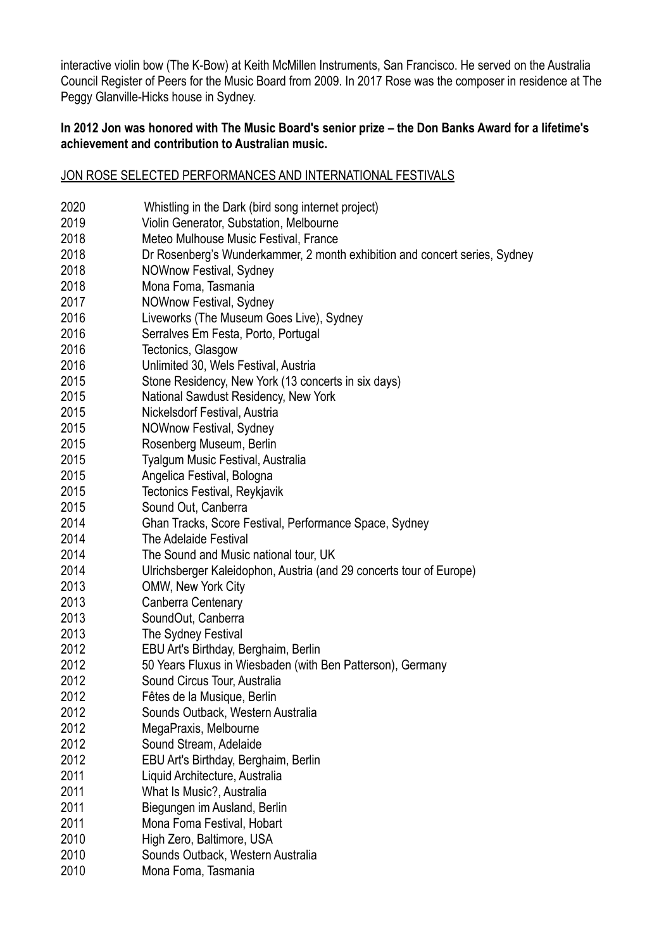interactive violin bow (The K-Bow) at Keith McMillen Instruments, San Francisco. He served on the Australia Council Register of Peers for the Music Board from 2009. In 2017 Rose was the composer in residence at The Peggy Glanville-Hicks house in Sydney.

# **In 2012 Jon was honored with The Music Board's senior prize – the Don Banks Award for a lifetime's achievement and contribution to Australian music.**

#### JON ROSE SELECTED PERFORMANCES AND INTERNATIONAL FESTIVALS

| 2020 | Whistling in the Dark (bird song internet project)                         |
|------|----------------------------------------------------------------------------|
| 2019 | Violin Generator, Substation, Melbourne                                    |
| 2018 | Meteo Mulhouse Music Festival, France                                      |
| 2018 | Dr Rosenberg's Wunderkammer, 2 month exhibition and concert series, Sydney |
| 2018 | NOWnow Festival, Sydney                                                    |
| 2018 | Mona Foma, Tasmania                                                        |
| 2017 | NOWnow Festival, Sydney                                                    |
| 2016 | Liveworks (The Museum Goes Live), Sydney                                   |
| 2016 | Serralves Em Festa, Porto, Portugal                                        |
| 2016 | Tectonics, Glasgow                                                         |
| 2016 | Unlimited 30, Wels Festival, Austria                                       |
| 2015 | Stone Residency, New York (13 concerts in six days)                        |
| 2015 | National Sawdust Residency, New York                                       |
| 2015 | Nickelsdorf Festival, Austria                                              |
| 2015 | NOWnow Festival, Sydney                                                    |
| 2015 | Rosenberg Museum, Berlin                                                   |
| 2015 | Tyalgum Music Festival, Australia                                          |
| 2015 | Angelica Festival, Bologna                                                 |
| 2015 | Tectonics Festival, Reykjavik                                              |
| 2015 | Sound Out, Canberra                                                        |
| 2014 | Ghan Tracks, Score Festival, Performance Space, Sydney                     |
| 2014 | The Adelaide Festival                                                      |
| 2014 | The Sound and Music national tour, UK                                      |
| 2014 | Ulrichsberger Kaleidophon, Austria (and 29 concerts tour of Europe)        |
| 2013 | <b>OMW, New York City</b>                                                  |
| 2013 | Canberra Centenary                                                         |
| 2013 | SoundOut, Canberra                                                         |
| 2013 | The Sydney Festival                                                        |
| 2012 | EBU Art's Birthday, Berghaim, Berlin                                       |
| 2012 | 50 Years Fluxus in Wiesbaden (with Ben Patterson), Germany                 |
| 2012 | Sound Circus Tour, Australia                                               |
| 2012 | Fêtes de la Musique, Berlin                                                |
| 2012 | Sounds Outback, Western Australia                                          |
| 2012 | MegaPraxis, Melbourne                                                      |
| 2012 | Sound Stream, Adelaide                                                     |
| 2012 | EBU Art's Birthday, Berghaim, Berlin                                       |
| 2011 | Liquid Architecture, Australia                                             |
| 2011 | What Is Music?, Australia                                                  |
| 2011 | Biegungen im Ausland, Berlin                                               |
| 2011 | Mona Foma Festival, Hobart                                                 |
| 2010 | High Zero, Baltimore, USA                                                  |
| 2010 | Sounds Outback, Western Australia                                          |
| 2010 | Mona Foma, Tasmania                                                        |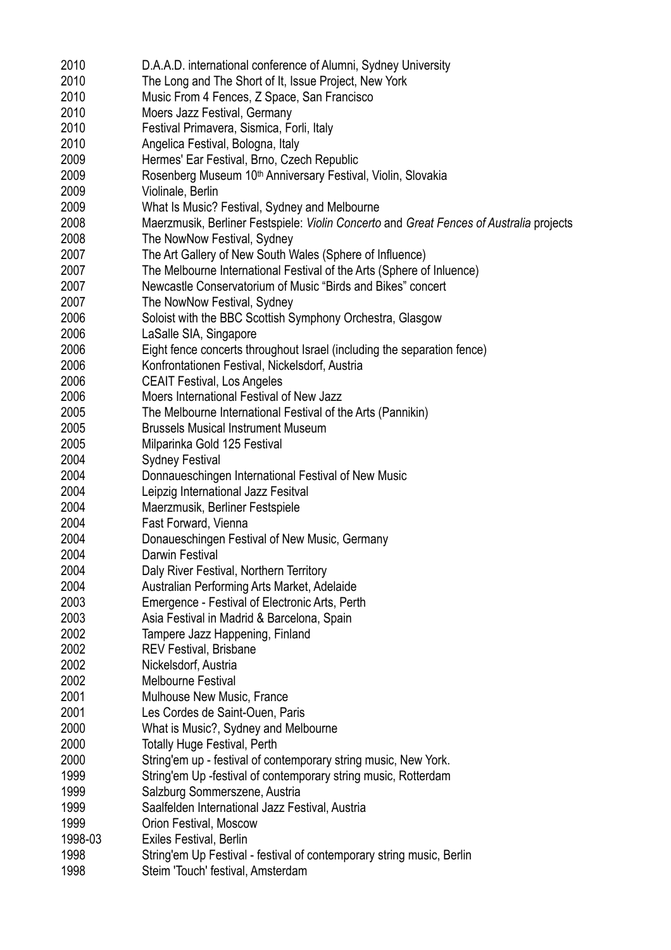| 2010    | D.A.A.D. international conference of Alumni, Sydney University                          |
|---------|-----------------------------------------------------------------------------------------|
| 2010    | The Long and The Short of It, Issue Project, New York                                   |
| 2010    | Music From 4 Fences, Z Space, San Francisco                                             |
| 2010    | Moers Jazz Festival, Germany                                                            |
| 2010    | Festival Primavera, Sismica, Forli, Italy                                               |
| 2010    | Angelica Festival, Bologna, Italy                                                       |
| 2009    | Hermes' Ear Festival, Brno, Czech Republic                                              |
| 2009    | Rosenberg Museum 10 <sup>th</sup> Anniversary Festival, Violin, Slovakia                |
| 2009    | Violinale, Berlin                                                                       |
| 2009    |                                                                                         |
|         | What Is Music? Festival, Sydney and Melbourne                                           |
| 2008    | Maerzmusik, Berliner Festspiele: Violin Concerto and Great Fences of Australia projects |
| 2008    | The NowNow Festival, Sydney                                                             |
| 2007    | The Art Gallery of New South Wales (Sphere of Influence)                                |
| 2007    | The Melbourne International Festival of the Arts (Sphere of Inluence)                   |
| 2007    | Newcastle Conservatorium of Music "Birds and Bikes" concert                             |
| 2007    | The NowNow Festival, Sydney                                                             |
| 2006    | Soloist with the BBC Scottish Symphony Orchestra, Glasgow                               |
| 2006    | LaSalle SIA, Singapore                                                                  |
| 2006    | Eight fence concerts throughout Israel (including the separation fence)                 |
| 2006    | Konfrontationen Festival, Nickelsdorf, Austria                                          |
| 2006    | <b>CEAIT Festival, Los Angeles</b>                                                      |
| 2006    | Moers International Festival of New Jazz                                                |
| 2005    | The Melbourne International Festival of the Arts (Pannikin)                             |
| 2005    | <b>Brussels Musical Instrument Museum</b>                                               |
| 2005    | Milparinka Gold 125 Festival                                                            |
| 2004    | <b>Sydney Festival</b>                                                                  |
| 2004    | Donnaueschingen International Festival of New Music                                     |
| 2004    | Leipzig International Jazz Fesitval                                                     |
| 2004    | Maerzmusik, Berliner Festspiele                                                         |
| 2004    | Fast Forward, Vienna                                                                    |
| 2004    | Donaueschingen Festival of New Music, Germany                                           |
| 2004    | <b>Darwin Festival</b>                                                                  |
| 2004    | Daly River Festival, Northern Territory                                                 |
| 2004    | Australian Performing Arts Market, Adelaide                                             |
| 2003    | Emergence - Festival of Electronic Arts, Perth                                          |
|         |                                                                                         |
| 2003    | Asia Festival in Madrid & Barcelona, Spain                                              |
| 2002    | Tampere Jazz Happening, Finland                                                         |
| 2002    | <b>REV Festival, Brisbane</b>                                                           |
| 2002    | Nickelsdorf, Austria                                                                    |
| 2002    | <b>Melbourne Festival</b>                                                               |
| 2001    | Mulhouse New Music, France                                                              |
| 2001    | Les Cordes de Saint-Ouen, Paris                                                         |
| 2000    | What is Music?, Sydney and Melbourne                                                    |
| 2000    | <b>Totally Huge Festival, Perth</b>                                                     |
| 2000    | String'em up - festival of contemporary string music, New York.                         |
| 1999    | String'em Up -festival of contemporary string music, Rotterdam                          |
| 1999    | Salzburg Sommerszene, Austria                                                           |
| 1999    | Saalfelden International Jazz Festival, Austria                                         |
| 1999    | Orion Festival, Moscow                                                                  |
| 1998-03 | Exiles Festival, Berlin                                                                 |
| 1998    | String'em Up Festival - festival of contemporary string music, Berlin                   |
| 1998    | Steim 'Touch' festival, Amsterdam                                                       |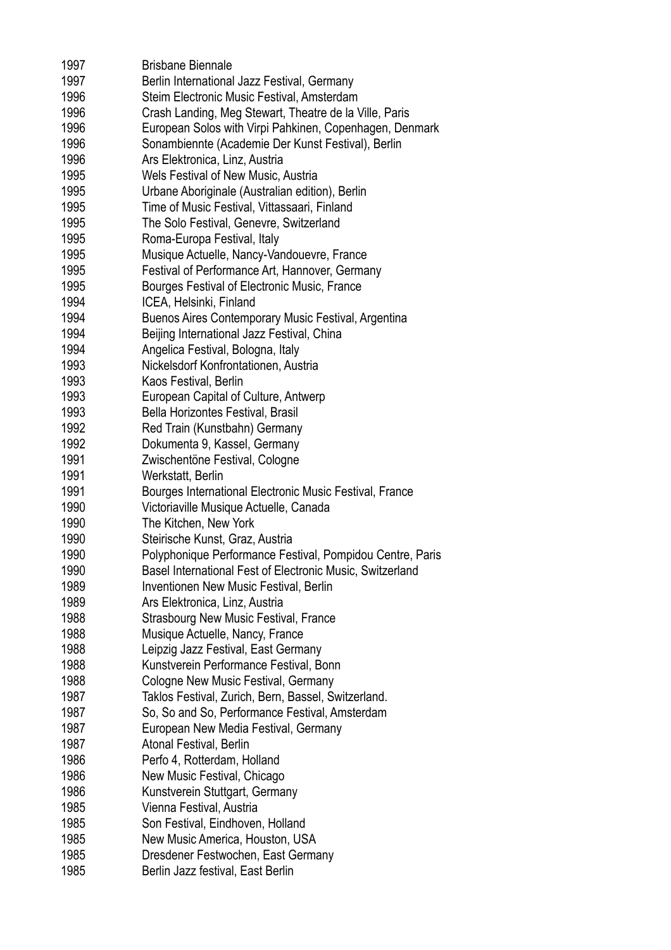| 1997 | <b>Brisbane Biennale</b>                                  |
|------|-----------------------------------------------------------|
| 1997 | Berlin International Jazz Festival, Germany               |
| 1996 | Steim Electronic Music Festival, Amsterdam                |
| 1996 | Crash Landing, Meg Stewart, Theatre de la Ville, Paris    |
| 1996 | European Solos with Virpi Pahkinen, Copenhagen, Denmark   |
| 1996 | Sonambiennte (Academie Der Kunst Festival), Berlin        |
| 1996 | Ars Elektronica, Linz, Austria                            |
|      |                                                           |
| 1995 | Wels Festival of New Music, Austria                       |
| 1995 | Urbane Aboriginale (Australian edition), Berlin           |
| 1995 | Time of Music Festival, Vittassaari, Finland              |
| 1995 | The Solo Festival, Genevre, Switzerland                   |
| 1995 | Roma-Europa Festival, Italy                               |
| 1995 | Musique Actuelle, Nancy-Vandouevre, France                |
| 1995 | Festival of Performance Art, Hannover, Germany            |
| 1995 | Bourges Festival of Electronic Music, France              |
| 1994 |                                                           |
|      | ICEA, Helsinki, Finland                                   |
| 1994 | Buenos Aires Contemporary Music Festival, Argentina       |
| 1994 | Beijing International Jazz Festival, China                |
| 1994 | Angelica Festival, Bologna, Italy                         |
| 1993 | Nickelsdorf Konfrontationen, Austria                      |
| 1993 | Kaos Festival, Berlin                                     |
| 1993 | European Capital of Culture, Antwerp                      |
| 1993 | Bella Horizontes Festival, Brasil                         |
| 1992 | Red Train (Kunstbahn) Germany                             |
| 1992 |                                                           |
|      | Dokumenta 9, Kassel, Germany                              |
| 1991 | Zwischentöne Festival, Cologne                            |
| 1991 | Werkstatt, Berlin                                         |
| 1991 | Bourges International Electronic Music Festival, France   |
| 1990 | Victoriaville Musique Actuelle, Canada                    |
| 1990 | The Kitchen, New York                                     |
| 1990 | Steirische Kunst, Graz, Austria                           |
| 1990 | Polyphonique Performance Festival, Pompidou Centre, Paris |
| 1990 | Basel International Fest of Electronic Music, Switzerland |
| 1989 | Inventionen New Music Festival, Berlin                    |
| 1989 | Ars Elektronica, Linz, Austria                            |
|      |                                                           |
| 1988 | Strasbourg New Music Festival, France                     |
| 1988 | Musique Actuelle, Nancy, France                           |
| 1988 | Leipzig Jazz Festival, East Germany                       |
| 1988 | Kunstverein Performance Festival, Bonn                    |
| 1988 | Cologne New Music Festival, Germany                       |
| 1987 | Taklos Festival, Zurich, Bern, Bassel, Switzerland.       |
| 1987 | So, So and So, Performance Festival, Amsterdam            |
| 1987 | European New Media Festival, Germany                      |
| 1987 | Atonal Festival, Berlin                                   |
| 1986 | Perfo 4, Rotterdam, Holland                               |
| 1986 |                                                           |
|      | New Music Festival, Chicago                               |
| 1986 | Kunstverein Stuttgart, Germany                            |
| 1985 | Vienna Festival, Austria                                  |
| 1985 | Son Festival, Eindhoven, Holland                          |
| 1985 | New Music America, Houston, USA                           |
| 1985 | Dresdener Festwochen, East Germany                        |
| 1985 | Berlin Jazz festival, East Berlin                         |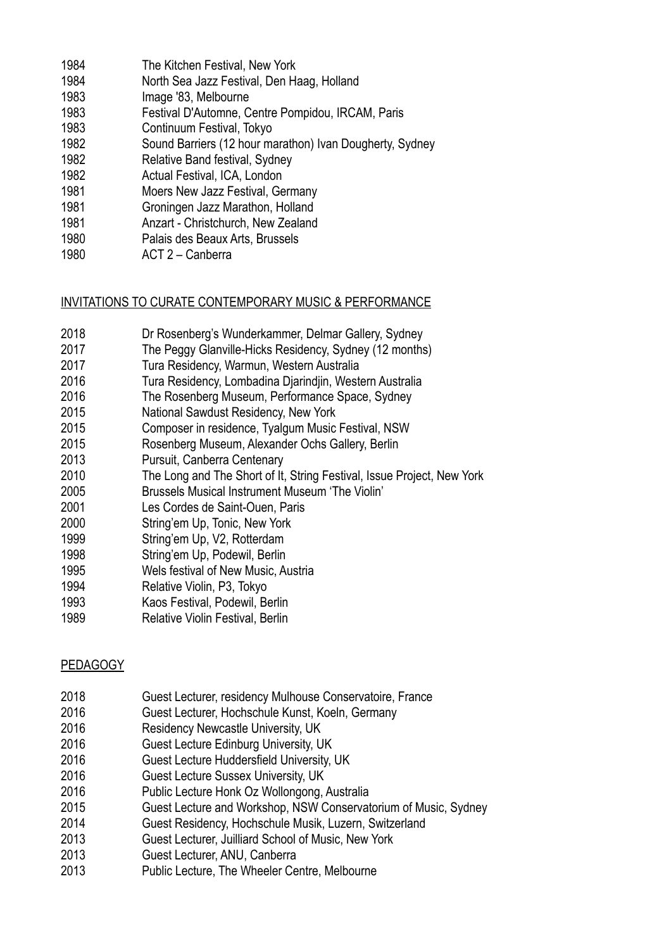| 1984 | The Kitchen Festival, New York                           |
|------|----------------------------------------------------------|
| 1984 | North Sea Jazz Festival, Den Haag, Holland               |
| 1983 | Image '83, Melbourne                                     |
| 1983 | Festival D'Automne, Centre Pompidou, IRCAM, Paris        |
| 1983 | Continuum Festival, Tokyo                                |
| 1982 | Sound Barriers (12 hour marathon) Ivan Dougherty, Sydney |
| 1982 | Relative Band festival, Sydney                           |
| 1982 | Actual Festival, ICA, London                             |
| 1981 | Moers New Jazz Festival, Germany                         |
| 1981 | Groningen Jazz Marathon, Holland                         |
| 1981 | Anzart - Christchurch, New Zealand                       |
| 1980 | Palais des Beaux Arts, Brussels                          |
| 1980 | ACT 2 - Canberra                                         |

# INVITATIONS TO CURATE CONTEMPORARY MUSIC & PERFORMANCE

- 2018 Dr Rosenberg's Wunderkammer, Delmar Gallery, Sydney
- 2017 The Peggy Glanville-Hicks Residency, Sydney (12 months)
- 2017 Tura Residency, Warmun, Western Australia
- 2016 Tura Residency, Lombadina Djarindjin, Western Australia
- 2016 The Rosenberg Museum, Performance Space, Sydney
- 2015 National Sawdust Residency, New York
- 2015 Composer in residence, Tyalgum Music Festival, NSW
- 2015 Rosenberg Museum, Alexander Ochs Gallery, Berlin
- 2013 Pursuit, Canberra Centenary
- 2010 The Long and The Short of It, String Festival, Issue Project, New York
- 2005 Brussels Musical Instrument Museum 'The Violin'
- 2001 Les Cordes de Saint-Ouen, Paris
- 2000 String'em Up, Tonic, New York
- 1999 String'em Up, V2, Rotterdam
- 1998 String'em Up, Podewil, Berlin
- 1995 Wels festival of New Music, Austria
- 1994 Relative Violin, P3, Tokyo
- 1993 Kaos Festival, Podewil, Berlin
- 1989 Relative Violin Festival, Berlin

#### PEDAGOGY

- 2018 Guest Lecturer, residency Mulhouse Conservatoire, France
- 2016 Guest Lecturer, Hochschule Kunst, Koeln, Germany
- 2016 Residency Newcastle University, UK
- 2016 Guest Lecture Edinburg University, UK
- 2016 Guest Lecture Huddersfield University, UK
- 2016 Guest Lecture Sussex University, UK
- 2016 Public Lecture Honk Oz Wollongong, Australia
- 2015 Guest Lecture and Workshop, NSW Conservatorium of Music, Sydney
- 2014 Guest Residency, Hochschule Musik, Luzern, Switzerland
- 2013 Guest Lecturer, Juilliard School of Music, New York
- 2013 Guest Lecturer, ANU, Canberra
- 2013 Public Lecture, The Wheeler Centre, Melbourne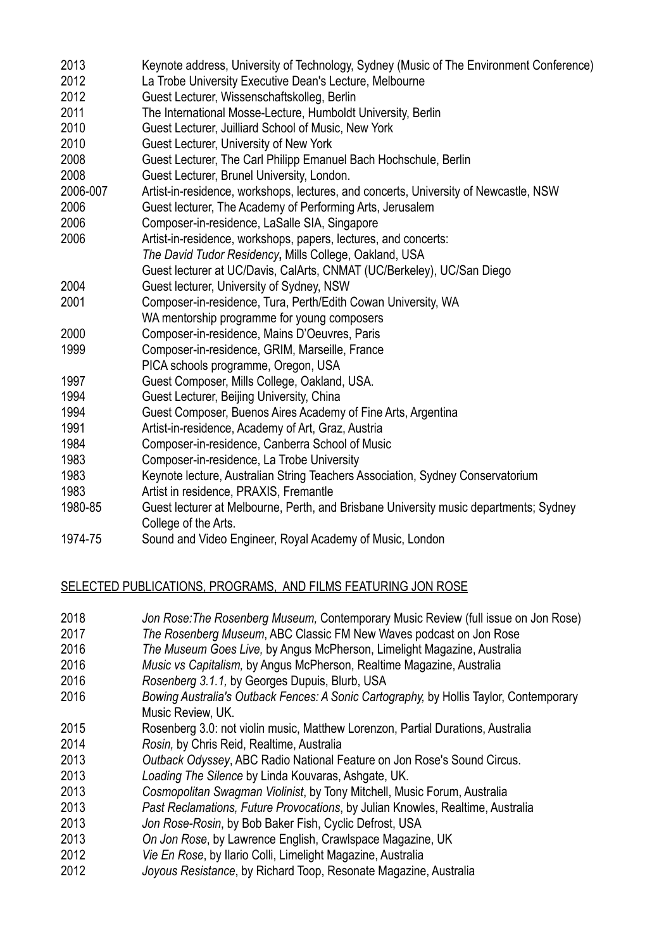- 2013 Keynote address, University of Technology, Sydney (Music of The Environment Conference) 2012 La Trobe University Executive Dean's Lecture, Melbourne 2012 Guest Lecturer, Wissenschaftskolleg, Berlin 2011 The International Mosse-Lecture, Humboldt University, Berlin 2010 Guest Lecturer, Juilliard School of Music, New York 2010 Guest Lecturer, University of New York 2008 Guest Lecturer, The Carl Philipp Emanuel Bach Hochschule, Berlin 2008 Guest Lecturer, Brunel University, London. 2006-007 Artist-in-residence, workshops, lectures, and concerts, University of Newcastle, NSW 2006 Guest lecturer, The Academy of Performing Arts, Jerusalem 2006 Composer-in-residence, LaSalle SIA, Singapore 2006 Artist-in-residence, workshops, papers, lectures, and concerts: *The David Tudor Residency***,** Mills College, Oakland, USA Guest lecturer at UC/Davis, CalArts, CNMAT (UC/Berkeley), UC/San Diego 2004 Guest lecturer, University of Sydney, NSW 2001 Composer-in-residence, Tura, Perth/Edith Cowan University, WA WA mentorship programme for young composers 2000 Composer-in-residence, Mains D'Oeuvres, Paris 1999 Composer-in-residence, GRIM, Marseille, France PICA schools programme, Oregon, USA 1997 Guest Composer, Mills College, Oakland, USA. 1994 Guest Lecturer, Beijing University, China 1994 Guest Composer, Buenos Aires Academy of Fine Arts, Argentina 1991 Artist-in-residence, Academy of Art, Graz, Austria 1984 Composer-in-residence, Canberra School of Music 1983 Composer-in-residence, La Trobe University 1983 Keynote lecture, Australian String Teachers Association, Sydney Conservatorium 1983 Artist in residence, PRAXIS, Fremantle 1980-85 Guest lecturer at Melbourne, Perth, and Brisbane University music departments; Sydney College of the Arts.
- 1974-75 Sound and Video Engineer, Royal Academy of Music, London

# SELECTED PUBLICATIONS, PROGRAMS, AND FILMS FEATURING JON ROSE

- 2018 *Jon Rose:The Rosenberg Museum,* Contemporary Music Review (full issue on Jon Rose)
- 2017 *The Rosenberg Museum*, ABC Classic FM New Waves podcast on Jon Rose
- 2016 *The Museum Goes Live,* by Angus McPherson, Limelight Magazine, Australia
- 2016 *Music vs Capitalism,* by Angus McPherson, Realtime Magazine, Australia
- 2016 *Rosenberg 3.1.1,* by Georges Dupuis, Blurb, USA
- 2016 *Bowing Australia's Outback Fences: A Sonic Cartography,* by Hollis Taylor, Contemporary Music Review, UK.
- 2015 Rosenberg 3.0: not violin music, Matthew Lorenzon, Partial Durations, Australia
- 2014 *Rosin,* by Chris Reid, Realtime, Australia
- 2013 *Outback Odyssey*, ABC Radio National Feature on Jon Rose's Sound Circus.
- 2013 *Loading The Silence* by Linda Kouvaras, Ashgate, UK.
- 2013 *Cosmopolitan Swagman Violinist*, by Tony Mitchell, Music Forum, Australia
- 2013 *Past Reclamations, Future Provocations*, by Julian Knowles, Realtime, Australia
- 2013 *Jon Rose-Rosin*, by Bob Baker Fish, Cyclic Defrost, USA
- 2013 *On Jon Rose*, by Lawrence English, Crawlspace Magazine, UK
- 2012 *Vie En Rose*, by Ilario Colli, Limelight Magazine, Australia
- 2012 *Joyous Resistance*, by Richard Toop, Resonate Magazine, Australia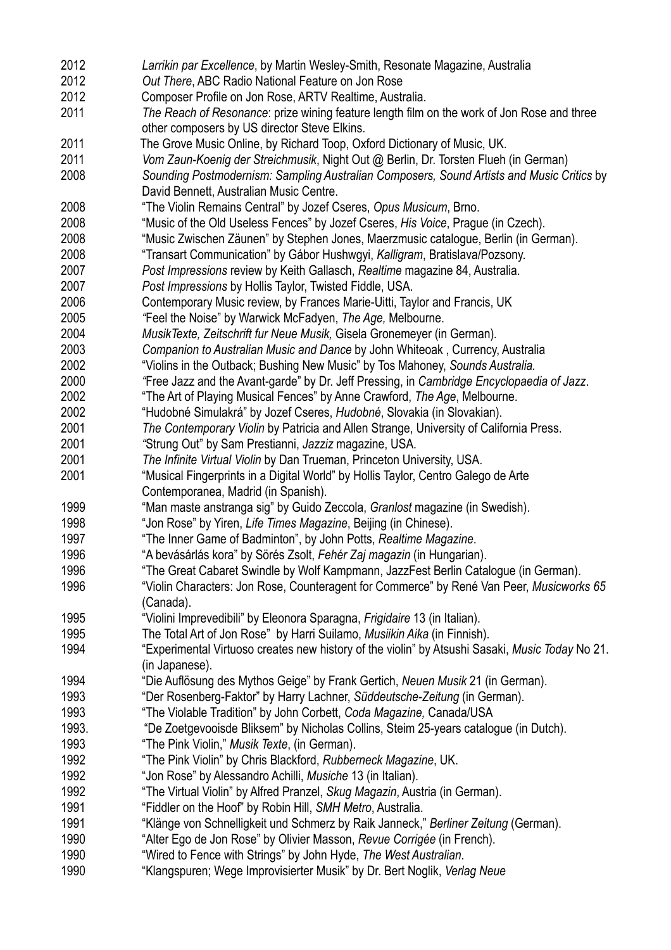| 2012  | Larrikin par Excellence, by Martin Wesley-Smith, Resonate Magazine, Australia                                                        |
|-------|--------------------------------------------------------------------------------------------------------------------------------------|
| 2012  | Out There, ABC Radio National Feature on Jon Rose                                                                                    |
| 2012  | Composer Profile on Jon Rose, ARTV Realtime, Australia.                                                                              |
| 2011  | The Reach of Resonance: prize wining feature length film on the work of Jon Rose and three                                           |
|       | other composers by US director Steve Elkins.                                                                                         |
| 2011  | The Grove Music Online, by Richard Toop, Oxford Dictionary of Music, UK.                                                             |
| 2011  | Vom Zaun-Koenig der Streichmusik, Night Out @ Berlin, Dr. Torsten Flueh (in German)                                                  |
|       |                                                                                                                                      |
| 2008  | Sounding Postmodernism: Sampling Australian Composers, Sound Artists and Music Critics by<br>David Bennett, Australian Music Centre. |
| 2008  | "The Violin Remains Central" by Jozef Cseres, Opus Musicum, Brno.                                                                    |
| 2008  | "Music of the Old Useless Fences" by Jozef Cseres, His Voice, Prague (in Czech).                                                     |
| 2008  | "Music Zwischen Zäunen" by Stephen Jones, Maerzmusic catalogue, Berlin (in German).                                                  |
| 2008  | "Transart Communication" by Gábor Hushwgyi, Kalligram, Bratislava/Pozsony.                                                           |
| 2007  | Post Impressions review by Keith Gallasch, Realtime magazine 84, Australia.                                                          |
| 2007  | Post Impressions by Hollis Taylor, Twisted Fiddle, USA.                                                                              |
| 2006  | Contemporary Music review, by Frances Marie-Uitti, Taylor and Francis, UK                                                            |
| 2005  | "Feel the Noise" by Warwick McFadyen, The Age, Melbourne.                                                                            |
| 2004  | MusikTexte, Zeitschrift fur Neue Musik, Gisela Gronemeyer (in German).                                                               |
| 2003  | Companion to Australian Music and Dance by John Whiteoak, Currency, Australia                                                        |
| 2002  | "Violins in the Outback; Bushing New Music" by Tos Mahoney, Sounds Australia.                                                        |
|       |                                                                                                                                      |
| 2000  | "Free Jazz and the Avant-garde" by Dr. Jeff Pressing, in Cambridge Encyclopaedia of Jazz.                                            |
| 2002  | "The Art of Playing Musical Fences" by Anne Crawford, The Age, Melbourne.                                                            |
| 2002  | "Hudobné Simulakrá" by Jozef Cseres, Hudobné, Slovakia (in Slovakian).                                                               |
| 2001  | The Contemporary Violin by Patricia and Allen Strange, University of California Press.                                               |
| 2001  | "Strung Out" by Sam Prestianni, Jazziz magazine, USA.                                                                                |
| 2001  | The Infinite Virtual Violin by Dan Trueman, Princeton University, USA.                                                               |
| 2001  | "Musical Fingerprints in a Digital World" by Hollis Taylor, Centro Galego de Arte<br>Contemporanea, Madrid (in Spanish).             |
| 1999  | "Man maste anstranga sig" by Guido Zeccola, Granlost magazine (in Swedish).                                                          |
| 1998  | "Jon Rose" by Yiren, Life Times Magazine, Beijing (in Chinese).                                                                      |
| 1997  | "The Inner Game of Badminton", by John Potts, Realtime Magazine.                                                                     |
| 1996  | "A bevásárlás kora" by Sörés Zsolt, Fehér Zaj magazin (in Hungarian).                                                                |
| 1996  | "The Great Cabaret Swindle by Wolf Kampmann, JazzFest Berlin Catalogue (in German).                                                  |
| 1996  | "Violin Characters: Jon Rose, Counteragent for Commerce" by René Van Peer, Musicworks 65                                             |
|       | (Canada).                                                                                                                            |
| 1995  | "Violini Imprevedibili" by Eleonora Sparagna, Frigidaire 13 (in Italian).                                                            |
| 1995  | The Total Art of Jon Rose" by Harri Suilamo, Musiikin Aika (in Finnish).                                                             |
| 1994  | "Experimental Virtuoso creates new history of the violin" by Atsushi Sasaki, Music Today No 21.                                      |
|       | (in Japanese).                                                                                                                       |
| 1994  | "Die Auflösung des Mythos Geige" by Frank Gertich, Neuen Musik 21 (in German).                                                       |
| 1993  | "Der Rosenberg-Faktor" by Harry Lachner, Süddeutsche-Zeitung (in German).                                                            |
| 1993  | "The Violable Tradition" by John Corbett, Coda Magazine, Canada/USA                                                                  |
| 1993. | "De Zoetgevooisde Bliksem" by Nicholas Collins, Steim 25-years catalogue (in Dutch).                                                 |
| 1993  | "The Pink Violin," Musik Texte, (in German).                                                                                         |
| 1992  | "The Pink Violin" by Chris Blackford, Rubberneck Magazine, UK.                                                                       |
| 1992  | "Jon Rose" by Alessandro Achilli, Musiche 13 (in Italian).                                                                           |
| 1992  | "The Virtual Violin" by Alfred Pranzel, Skug Magazin, Austria (in German).                                                           |
| 1991  |                                                                                                                                      |
| 1991  | "Fiddler on the Hoof" by Robin Hill, SMH Metro, Australia.                                                                           |
|       | "Klänge von Schnelligkeit und Schmerz by Raik Janneck," Berliner Zeitung (German).                                                   |
| 1990  | "Alter Ego de Jon Rose" by Olivier Masson, Revue Corrigée (in French).                                                               |
| 1990  | "Wired to Fence with Strings" by John Hyde, The West Australian.                                                                     |
| 1990  | "Klangspuren; Wege Improvisierter Musik" by Dr. Bert Noglik, Verlag Neue                                                             |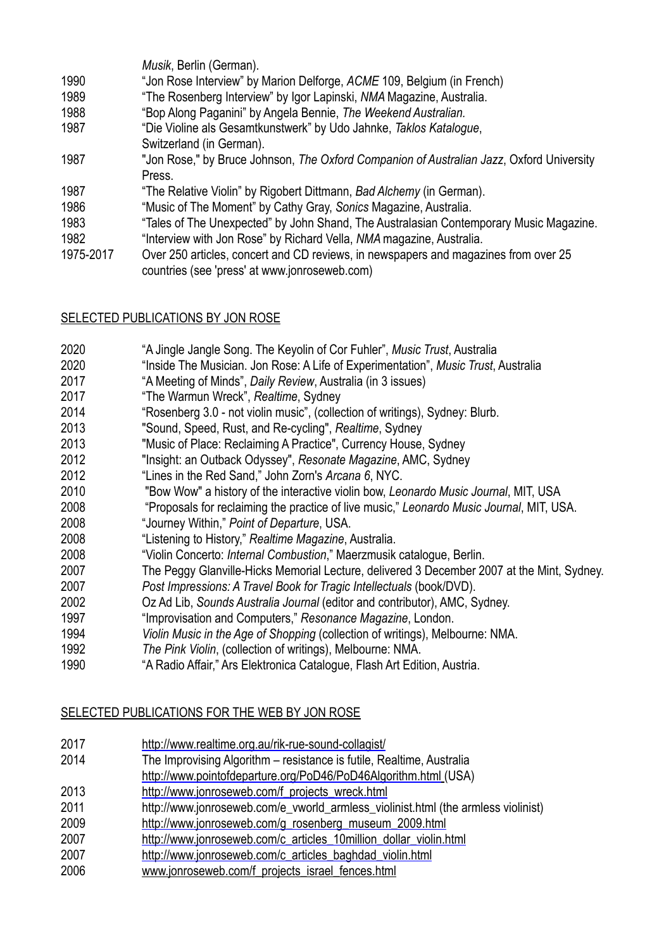|           | Musik, Berlin (German).                                                                  |
|-----------|------------------------------------------------------------------------------------------|
| 1990      | "Jon Rose Interview" by Marion Delforge, ACME 109, Belgium (in French)                   |
| 1989      | "The Rosenberg Interview" by Igor Lapinski, NMA Magazine, Australia.                     |
| 1988      | "Bop Along Paganini" by Angela Bennie, The Weekend Australian.                           |
| 1987      | "Die Violine als Gesamtkunstwerk" by Udo Jahnke, Taklos Katalogue,                       |
|           | Switzerland (in German).                                                                 |
| 1987      | "Jon Rose," by Bruce Johnson, The Oxford Companion of Australian Jazz, Oxford University |
|           | Press.                                                                                   |
| 1987      | "The Relative Violin" by Rigobert Dittmann, Bad Alchemy (in German).                     |
| 1986      | "Music of The Moment" by Cathy Gray, Sonics Magazine, Australia.                         |
| 1983      | "Tales of The Unexpected" by John Shand, The Australasian Contemporary Music Magazine.   |
| 1982      | "Interview with Jon Rose" by Richard Vella, NMA magazine, Australia.                     |
| 1975-2017 | Over 250 articles, concert and CD reviews, in newspapers and magazines from over 25      |
|           | countries (see 'press' at www.jonroseweb.com)                                            |

# SELECTED PUBLICATIONS BY JON ROSE

- 2020 "A Jingle Jangle Song. The Keyolin of Cor Fuhler", *Music Trust*, Australia
- 2020 "Inside The Musician. Jon Rose: A Life of Experimentation", *Music Trust*, Australia
- 2017 "A Meeting of Minds", *Daily Review*, Australia (in 3 issues)
- 2017 "The Warmun Wreck", *Realtime*, Sydney
- 2014 "Rosenberg 3.0 not violin music", (collection of writings), Sydney: Blurb.
- 2013 "Sound, Speed, Rust, and Re-cycling", *Realtime*, Sydney
- 2013 "Music of Place: Reclaiming A Practice", Currency House, Sydney
- 2012 "Insight: an Outback Odyssey", *Resonate Magazine*, AMC, Sydney
- 2012 "Lines in the Red Sand," John Zorn's *Arcana 6*, NYC.
- 2010 "Bow Wow" a history of the interactive violin bow, *Leonardo Music Journal*, MIT, USA
- 2008 "Proposals for reclaiming the practice of live music," *Leonardo Music Journal*, MIT, USA.
- 2008 "Journey Within," *Point of Departure*, USA.
- 2008 "Listening to History," *Realtime Magazine*, Australia.
- 2008 "Violin Concerto: *Internal Combustion*," Maerzmusik catalogue, Berlin.
- 2007 The Peggy Glanville-Hicks Memorial Lecture, delivered 3 December 2007 at the Mint, Sydney.
- 2007 *Post Impressions: A Travel Book for Tragic Intellectuals* (book/DVD).
- 2002 Oz Ad Lib, *Sounds Australia Journal* (editor and contributor), AMC, Sydney.
- 1997 "Improvisation and Computers," *Resonance Magazine*, London.
- 1994 *Violin Music in the Age of Shopping* (collection of writings), Melbourne: NMA.
- 1992 *The Pink Violin*, (collection of writings), Melbourne: NMA.
- 1990 "A Radio Affair," Ars Elektronica Catalogue, Flash Art Edition, Austria.

# SELECTED PUBLICATIONS FOR THE WEB BY JON ROSE

- 2017 <http://www.realtime.org.au/rik-rue-sound-collagist/>
- 2014 The Improvising Algorithm resistance is futile, Realtime, Australia
- <http://www.pointofdeparture.org/PoD46/PoD46Algorithm.html> (USA)
- 2013 [http://www.jonroseweb.com/f\\_projects\\_wreck.html](http://www.jonroseweb.com/f_projects_wreck.html)
- 2011 http://www.jonroseweb.com/e\_vworld\_armless\_violinist.html (the armless violinist)
- 2009 [http://www.jonroseweb.com/g\\_rosenberg\\_museum\\_2009.html](http://www.jonroseweb.com/g_rosenberg_museum_2009.html)
- 2007 [http://www.jonroseweb.com/c\\_articles\\_10million\\_dollar\\_violin.html](http://www.jonroseweb.com/c_articles_10million_dollar_violin.html)
- 2007 [http://www.jonroseweb.com/c\\_articles\\_baghdad\\_violin.html](http://www.jonroseweb.com/c_articles_baghdad_violin.html)
- 2006 www.jonroseweb.com/f\_projects\_israel\_fences.html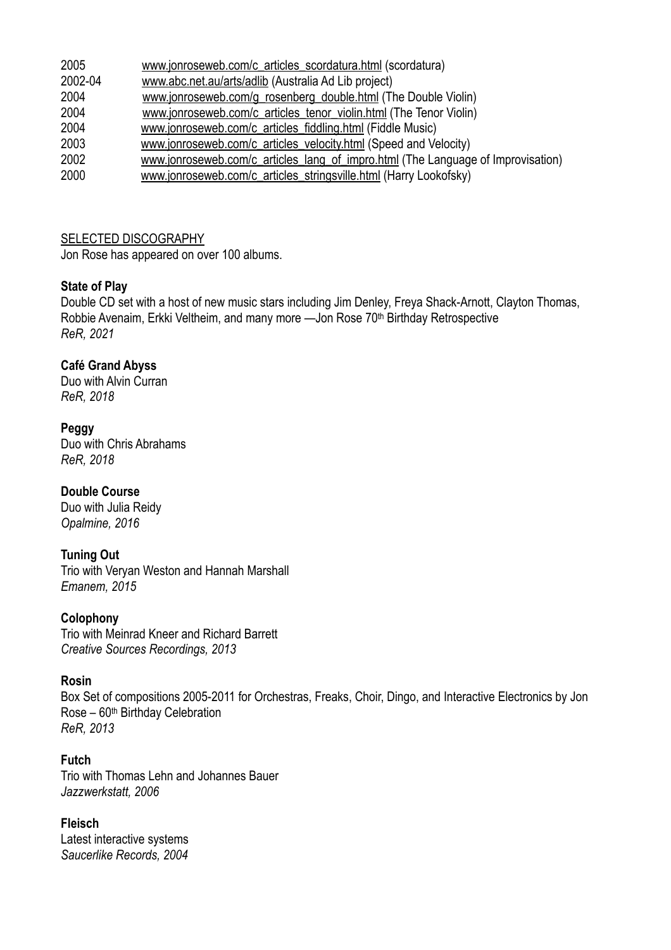| 2005    | www.jonroseweb.com/c_articles_scordatura.html (scordatura)                       |
|---------|----------------------------------------------------------------------------------|
| 2002-04 | www.abc.net.au/arts/adlib (Australia Ad Lib project)                             |
| 2004    | www.jonroseweb.com/g_rosenberg_double.html (The Double Violin)                   |
| 2004    | www.jonroseweb.com/c articles tenor violin.html (The Tenor Violin)               |
| 2004    | www.jonroseweb.com/c_articles_fiddling.html (Fiddle Music)                       |
| 2003    | www.jonroseweb.com/c articles velocity.html (Speed and Velocity)                 |
| 2002    | www.jonroseweb.com/c articles lang of impro.html (The Language of Improvisation) |
| 2000    | www.jonroseweb.com/c_articles_stringsville.html (Harry Lookofsky)                |
|         |                                                                                  |

SELECTED DISCOGRAPHY

Jon Rose has appeared on over 100 albums.

#### **State of Play**

Double CD set with a host of new music stars including Jim Denley, Freya Shack-Arnott, Clayton Thomas, Robbie Avenaim, Erkki Veltheim, and many more —Jon Rose 70<sup>th</sup> Birthday Retrospective *ReR, 2021* 

# **Café Grand Abyss**

Duo with Alvin Curran *ReR, 2018* 

# **Peggy**

Duo with Chris Abrahams *ReR, 2018* 

#### **Double Course**

Duo with Julia Reidy *Opalmine, 2016* 

#### **Tuning Out**

Trio with Veryan Weston and Hannah Marshall *Emanem, 2015* 

#### **Colophony**

Trio with Meinrad Kneer and Richard Barrett *Creative Sources Recordings, 2013* 

#### **Rosin**

Box Set of compositions 2005-2011 for Orchestras, Freaks, Choir, Dingo, and Interactive Electronics by Jon Rose – 60th Birthday Celebration *ReR, 2013* 

# **Futch**

Trio with Thomas Lehn and Johannes Bauer *Jazzwerkstatt, 2006* 

#### **Fleisch**

Latest interactive systems *Saucerlike Records, 2004*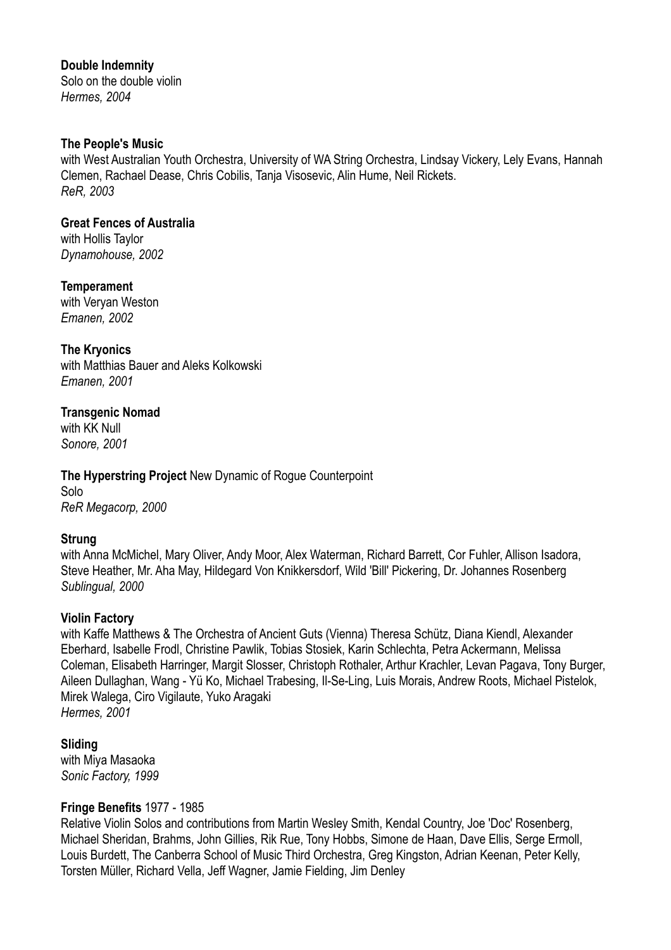**Double Indemnity**

Solo on the double violin *Hermes, 2004* 

#### **The People's Music**

with West Australian Youth Orchestra, University of WA String Orchestra, Lindsay Vickery, Lely Evans, Hannah Clemen, Rachael Dease, Chris Cobilis, Tanja Visosevic, Alin Hume, Neil Rickets. *ReR, 2003* 

**Great Fences of Australia** with Hollis Taylor

*Dynamohouse, 2002* 

**Temperament** with Veryan Weston *Emanen, 2002* 

**The Kryonics** with Matthias Bauer and Aleks Kolkowski *Emanen, 2001* 

**Transgenic Nomad** with KK Null *Sonore, 2001* 

**The Hyperstring Project** New Dynamic of Rogue Counterpoint Solo *ReR Megacorp, 2000* 

#### **Strung**

with Anna McMichel, Mary Oliver, Andy Moor, Alex Waterman, Richard Barrett, Cor Fuhler, Allison Isadora, Steve Heather, Mr. Aha May, Hildegard Von Knikkersdorf, Wild 'Bill' Pickering, Dr. Johannes Rosenberg *Sublingual, 2000* 

# **Violin Factory**

with Kaffe Matthews & The Orchestra of Ancient Guts (Vienna) Theresa Schütz, Diana Kiendl, Alexander Eberhard, Isabelle Frodl, Christine Pawlik, Tobias Stosiek, Karin Schlechta, Petra Ackermann, Melissa Coleman, Elisabeth Harringer, Margit Slosser, Christoph Rothaler, Arthur Krachler, Levan Pagava, Tony Burger, Aileen Dullaghan, Wang - Yü Ko, Michael Trabesing, Il-Se-Ling, Luis Morais, Andrew Roots, Michael Pistelok, Mirek Walega, Ciro Vigilaute, Yuko Aragaki *Hermes, 2001* 

**Sliding** with Miya Masaoka *Sonic Factory, 1999* 

# **Fringe Benefits** 1977 - 1985

Relative Violin Solos and contributions from Martin Wesley Smith, Kendal Country, Joe 'Doc' Rosenberg, Michael Sheridan, Brahms, John Gillies, Rik Rue, Tony Hobbs, Simone de Haan, Dave Ellis, Serge Ermoll, Louis Burdett, The Canberra School of Music Third Orchestra, Greg Kingston, Adrian Keenan, Peter Kelly, Torsten Müller, Richard Vella, Jeff Wagner, Jamie Fielding, Jim Denley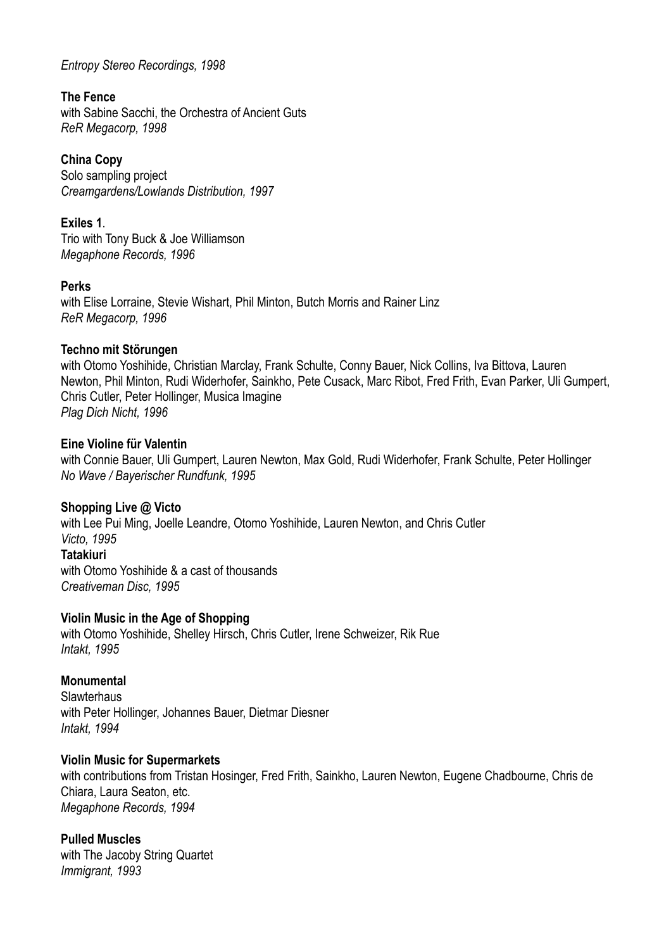#### *Entropy Stereo Recordings, 1998*

#### **The Fence**

with Sabine Sacchi, the Orchestra of Ancient Guts *ReR Megacorp, 1998* 

# **China Copy**

Solo sampling project *Creamgardens/Lowlands Distribution, 1997* 

#### **Exiles 1**.

Trio with Tony Buck & Joe Williamson *Megaphone Records, 1996* 

#### **Perks**

with Elise Lorraine, Stevie Wishart, Phil Minton, Butch Morris and Rainer Linz *ReR Megacorp, 1996* 

#### **Techno mit Störungen**

with Otomo Yoshihide, Christian Marclay, Frank Schulte, Conny Bauer, Nick Collins, Iva Bittova, Lauren Newton, Phil Minton, Rudi Widerhofer, Sainkho, Pete Cusack, Marc Ribot, Fred Frith, Evan Parker, Uli Gumpert, Chris Cutler, Peter Hollinger, Musica Imagine *Plag Dich Nicht, 1996* 

#### **Eine Violine für Valentin**

with Connie Bauer, Uli Gumpert, Lauren Newton, Max Gold, Rudi Widerhofer, Frank Schulte, Peter Hollinger *No Wave / Bayerischer Rundfunk, 1995* 

#### **Shopping Live @ Victo**

with Lee Pui Ming, Joelle Leandre, Otomo Yoshihide, Lauren Newton, and Chris Cutler *Victo, 1995*  **Tatakiuri** with Otomo Yoshihide & a cast of thousands *Creativeman Disc, 1995* 

#### **Violin Music in the Age of Shopping**

with Otomo Yoshihide, Shelley Hirsch, Chris Cutler, Irene Schweizer, Rik Rue *Intakt, 1995* 

#### **Monumental**

**Slawterhaus** with Peter Hollinger, Johannes Bauer, Dietmar Diesner *Intakt, 1994* 

#### **Violin Music for Supermarkets**

with contributions from Tristan Hosinger, Fred Frith, Sainkho, Lauren Newton, Eugene Chadbourne, Chris de Chiara, Laura Seaton, etc. *Megaphone Records, 1994* 

#### **Pulled Muscles**

with The Jacoby String Quartet *Immigrant, 1993*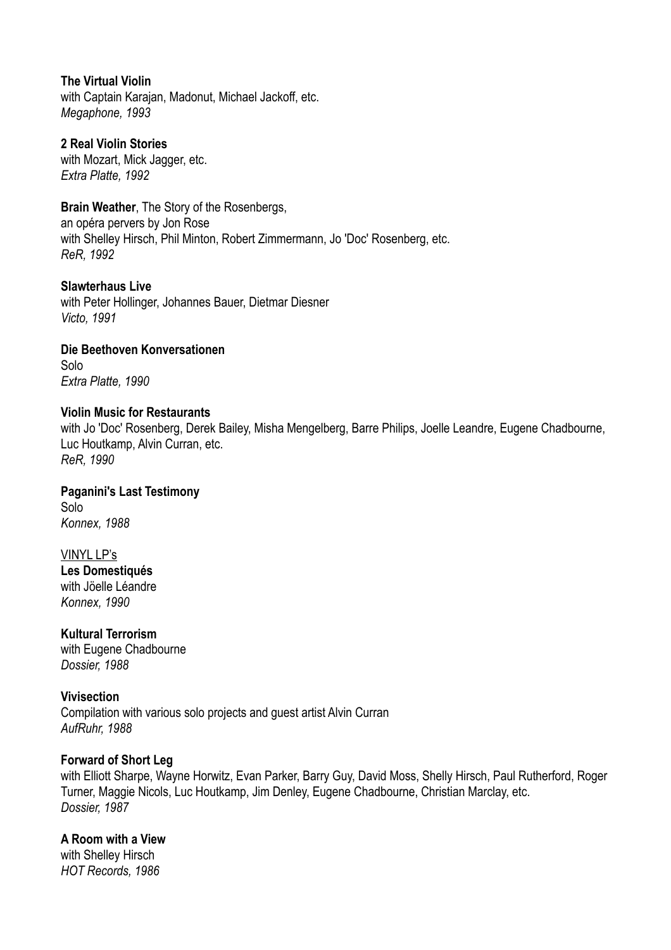**The Virtual Violin** with Captain Karajan, Madonut, Michael Jackoff, etc. *Megaphone, 1993* 

**2 Real Violin Stories** with Mozart, Mick Jagger, etc. *Extra Platte, 1992* 

**Brain Weather**, The Story of the Rosenbergs, an opéra pervers by Jon Rose with Shelley Hirsch, Phil Minton, Robert Zimmermann, Jo 'Doc' Rosenberg, etc. *ReR, 1992* 

**Slawterhaus Live** with Peter Hollinger, Johannes Bauer, Dietmar Diesner *Victo, 1991* 

**Die Beethoven Konversationen** Solo *Extra Platte, 1990* 

#### **Violin Music for Restaurants**

with Jo 'Doc' Rosenberg, Derek Bailey, Misha Mengelberg, Barre Philips, Joelle Leandre, Eugene Chadbourne, Luc Houtkamp, Alvin Curran, etc. *ReR, 1990* 

**Paganini's Last Testimony** Solo *Konnex, 1988* 

VINYL LP's **Les Domestiqués** with Jöelle Léandre *Konnex, 1990* 

**Kultural Terrorism** with Eugene Chadbourne *Dossier, 1988* 

**Vivisection**  Compilation with various solo projects and guest artist Alvin Curran *AufRuhr, 1988* 

#### **Forward of Short Leg**

with Elliott Sharpe, Wayne Horwitz, Evan Parker, Barry Guy, David Moss, Shelly Hirsch, Paul Rutherford, Roger Turner, Maggie Nicols, Luc Houtkamp, Jim Denley, Eugene Chadbourne, Christian Marclay, etc. *Dossier, 1987* 

### **A Room with a View**

with Shelley Hirsch *HOT Records, 1986*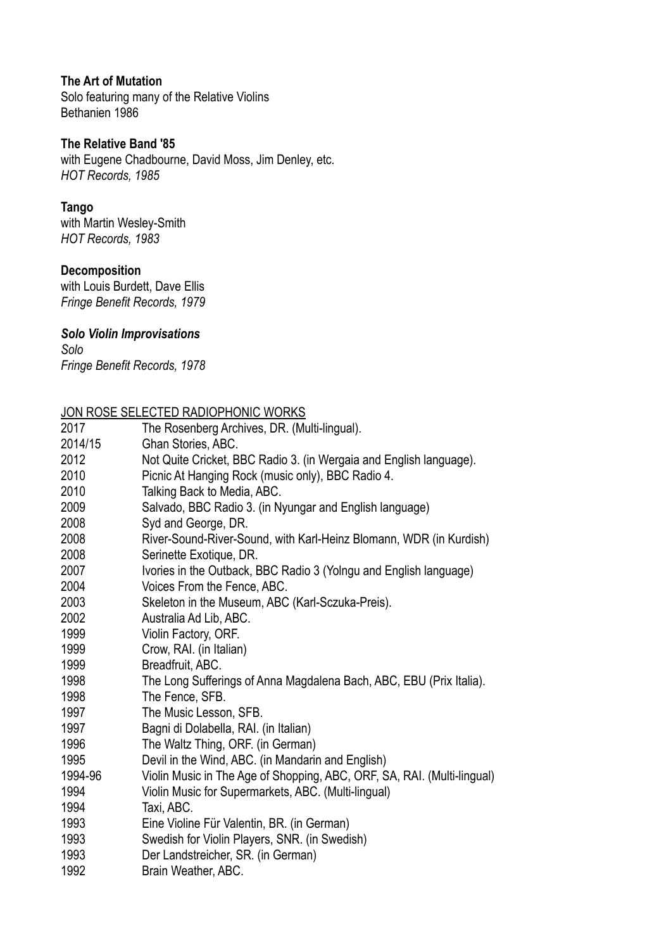#### **The Art of Mutation**

Solo featuring many of the Relative Violins Bethanien 1986

#### **The Relative Band '85**

with Eugene Chadbourne, David Moss, Jim Denley, etc. *HOT Records, 1985* 

#### **Tango**

with Martin Wesley-Smith *HOT Records, 1983* 

# **Decomposition**

with Louis Burdett, Dave Ellis *Fringe Benefit Records, 1979* 

# *Solo Violin Improvisations*

*Solo Fringe Benefit Records, 1978* 

#### JON ROSE SELECTED RADIOPHONIC WORKS

| .       |                                                                         |
|---------|-------------------------------------------------------------------------|
| 2017    | The Rosenberg Archives, DR. (Multi-lingual).                            |
| 2014/15 | Ghan Stories, ABC.                                                      |
| 2012    | Not Quite Cricket, BBC Radio 3. (in Wergaia and English language).      |
| 2010    | Picnic At Hanging Rock (music only), BBC Radio 4.                       |
| 2010    | Talking Back to Media, ABC.                                             |
| 2009    | Salvado, BBC Radio 3. (in Nyungar and English language)                 |
| 2008    | Syd and George, DR.                                                     |
| 2008    | River-Sound-River-Sound, with Karl-Heinz Blomann, WDR (in Kurdish)      |
| 2008    | Serinette Exotique, DR.                                                 |
| 2007    | Ivories in the Outback, BBC Radio 3 (Yolngu and English language)       |
| 2004    | Voices From the Fence, ABC.                                             |
| 2003    | Skeleton in the Museum, ABC (Karl-Sczuka-Preis).                        |
| 2002    | Australia Ad Lib, ABC.                                                  |
| 1999    | Violin Factory, ORF.                                                    |
| 1999    | Crow, RAI. (in Italian)                                                 |
| 1999    | Breadfruit, ABC.                                                        |
| 1998    | The Long Sufferings of Anna Magdalena Bach, ABC, EBU (Prix Italia).     |
| 1998    | The Fence, SFB.                                                         |
| 1997    | The Music Lesson, SFB.                                                  |
| 1997    | Bagni di Dolabella, RAI. (in Italian)                                   |
| 1996    | The Waltz Thing, ORF. (in German)                                       |
| 1995    | Devil in the Wind, ABC. (in Mandarin and English)                       |
| 1994-96 | Violin Music in The Age of Shopping, ABC, ORF, SA, RAI. (Multi-lingual) |
| 1994    | Violin Music for Supermarkets, ABC. (Multi-lingual)                     |
| 1994    | Taxi, ABC.                                                              |
| 1993    | Eine Violine Für Valentin, BR. (in German)                              |
| 1993    | Swedish for Violin Players, SNR. (in Swedish)                           |
| 1993    | Der Landstreicher, SR. (in German)                                      |
| 1992    | Brain Weather, ABC.                                                     |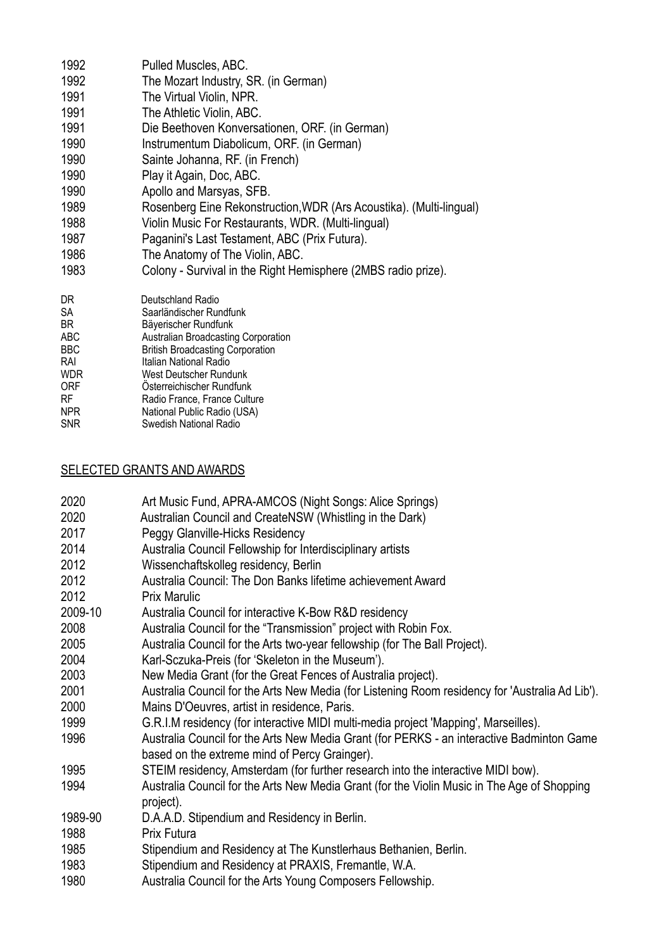| 1992              | Pulled Muscles, ABC.                                                           |
|-------------------|--------------------------------------------------------------------------------|
| 1992              | The Mozart Industry, SR. (in German)                                           |
| 1991              | The Virtual Violin, NPR.                                                       |
| 1991              | The Athletic Violin, ABC.                                                      |
| 1991              | Die Beethoven Konversationen, ORF. (in German)                                 |
| 1990              | Instrumentum Diabolicum, ORF. (in German)                                      |
| 1990              | Sainte Johanna, RF. (in French)                                                |
| 1990              | Play it Again, Doc, ABC.                                                       |
| 1990              | Apollo and Marsyas, SFB.                                                       |
| 1989              | Rosenberg Eine Rekonstruction, WDR (Ars Acoustika). (Multi-lingual)            |
| 1988              | Violin Music For Restaurants, WDR. (Multi-lingual)                             |
| 1987              | Paganini's Last Testament, ABC (Prix Futura).                                  |
| 1986              | The Anatomy of The Violin, ABC.                                                |
| 1983              | Colony - Survival in the Right Hemisphere (2MBS radio prize).                  |
| DR.               | Deutschland Radio                                                              |
| SA                | Saarländischer Rundfunk                                                        |
| BR.               | Bäyerischer Rundfunk                                                           |
| ABC<br><b>BBC</b> | Australian Broadcasting Corporation<br><b>British Broadcasting Corporation</b> |
| <b>RAI</b>        | Italian National Radio                                                         |
| <b>WDR</b>        | West Deutscher Rundunk                                                         |
| <b>ORF</b>        | Osterreichischer Rundfunk                                                      |
| RF<br><b>NPR</b>  | Radio France, France Culture                                                   |
| <b>SNR</b>        | National Public Radio (USA)<br>Swedish National Radio                          |
|                   |                                                                                |

# SELECTED GRANTS AND AWARDS

| 2020    | Art Music Fund, APRA-AMCOS (Night Songs: Alice Springs)                                         |
|---------|-------------------------------------------------------------------------------------------------|
| 2020    | Australian Council and CreateNSW (Whistling in the Dark)                                        |
| 2017    | Peggy Glanville-Hicks Residency                                                                 |
| 2014    | Australia Council Fellowship for Interdisciplinary artists                                      |
| 2012    | Wissenchaftskolleg residency, Berlin                                                            |
| 2012    | Australia Council: The Don Banks lifetime achievement Award                                     |
| 2012    | <b>Prix Marulic</b>                                                                             |
| 2009-10 | Australia Council for interactive K-Bow R&D residency                                           |
| 2008    | Australia Council for the "Transmission" project with Robin Fox.                                |
| 2005    | Australia Council for the Arts two-year fellowship (for The Ball Project).                      |
| 2004    | Karl-Sczuka-Preis (for 'Skeleton in the Museum').                                               |
| 2003    | New Media Grant (for the Great Fences of Australia project).                                    |
| 2001    | Australia Council for the Arts New Media (for Listening Room residency for 'Australia Ad Lib'). |
| 2000    | Mains D'Oeuvres, artist in residence, Paris.                                                    |
| 1999    | G.R.I.M residency (for interactive MIDI multi-media project 'Mapping', Marseilles).             |
| 1996    | Australia Council for the Arts New Media Grant (for PERKS - an interactive Badminton Game       |
|         | based on the extreme mind of Percy Grainger).                                                   |
| 1995    | STEIM residency, Amsterdam (for further research into the interactive MIDI bow).                |
| 1994    | Australia Council for the Arts New Media Grant (for the Violin Music in The Age of Shopping     |
|         | project).                                                                                       |
| 1989-90 | D.A.A.D. Stipendium and Residency in Berlin.                                                    |
| 1988    | Prix Futura                                                                                     |
| 1985    | Stipendium and Residency at The Kunstlerhaus Bethanien, Berlin.                                 |
| 1983    | Stipendium and Residency at PRAXIS, Fremantle, W.A.                                             |
| 1980    | Australia Council for the Arts Young Composers Fellowship.                                      |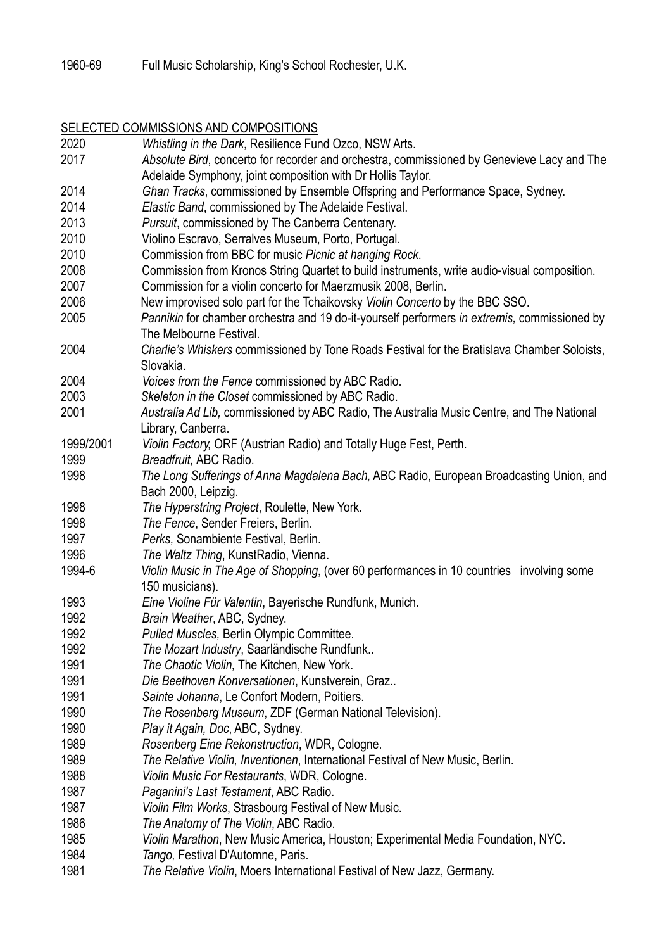# SELECTED COMMISSIONS AND COMPOSITIONS

| 2020      | Whistling in the Dark, Resilience Fund Ozco, NSW Arts.                                       |
|-----------|----------------------------------------------------------------------------------------------|
| 2017      | Absolute Bird, concerto for recorder and orchestra, commissioned by Genevieve Lacy and The   |
|           | Adelaide Symphony, joint composition with Dr Hollis Taylor.                                  |
| 2014      | Ghan Tracks, commissioned by Ensemble Offspring and Performance Space, Sydney.               |
| 2014      | Elastic Band, commissioned by The Adelaide Festival.                                         |
| 2013      | Pursuit, commissioned by The Canberra Centenary.                                             |
| 2010      | Violino Escravo, Serralves Museum, Porto, Portugal.                                          |
| 2010      | Commission from BBC for music Picnic at hanging Rock.                                        |
| 2008      | Commission from Kronos String Quartet to build instruments, write audio-visual composition.  |
| 2007      | Commission for a violin concerto for Maerzmusik 2008, Berlin.                                |
| 2006      | New improvised solo part for the Tchaikovsky Violin Concerto by the BBC SSO.                 |
| 2005      | Pannikin for chamber orchestra and 19 do-it-yourself performers in extremis, commissioned by |
|           | The Melbourne Festival.                                                                      |
| 2004      | Charlie's Whiskers commissioned by Tone Roads Festival for the Bratislava Chamber Soloists,  |
|           | Slovakia.                                                                                    |
| 2004      | Voices from the Fence commissioned by ABC Radio.                                             |
| 2003      | Skeleton in the Closet commissioned by ABC Radio.                                            |
| 2001      | Australia Ad Lib, commissioned by ABC Radio, The Australia Music Centre, and The National    |
|           | Library, Canberra.                                                                           |
| 1999/2001 | Violin Factory, ORF (Austrian Radio) and Totally Huge Fest, Perth.                           |
| 1999      | Breadfruit, ABC Radio.                                                                       |
| 1998      | The Long Sufferings of Anna Magdalena Bach, ABC Radio, European Broadcasting Union, and      |
|           | Bach 2000, Leipzig.                                                                          |
| 1998      | The Hyperstring Project, Roulette, New York.                                                 |
| 1998      | The Fence, Sender Freiers, Berlin.                                                           |
| 1997      | Perks, Sonambiente Festival, Berlin.                                                         |
| 1996      | The Waltz Thing, KunstRadio, Vienna.                                                         |
| 1994-6    | Violin Music in The Age of Shopping, (over 60 performances in 10 countries involving some    |
|           | 150 musicians).                                                                              |
| 1993      | Eine Violine Für Valentin, Bayerische Rundfunk, Munich.                                      |
| 1992      | Brain Weather, ABC, Sydney.                                                                  |
| 1992      | Pulled Muscles, Berlin Olympic Committee.                                                    |
| 1992      | The Mozart Industry, Saarländische Rundfunk                                                  |
| 1991      | The Chaotic Violin, The Kitchen, New York.                                                   |
| 1991      | Die Beethoven Konversationen, Kunstverein, Graz                                              |
| 1991      | Sainte Johanna, Le Confort Modern, Poitiers.                                                 |
| 1990      | The Rosenberg Museum, ZDF (German National Television).                                      |
| 1990      | Play it Again, Doc, ABC, Sydney.                                                             |
| 1989      | Rosenberg Eine Rekonstruction, WDR, Cologne.                                                 |
| 1989      | The Relative Violin, Inventionen, International Festival of New Music, Berlin.               |
| 1988      |                                                                                              |
| 1987      | Violin Music For Restaurants, WDR, Cologne.                                                  |
| 1987      | Paganini's Last Testament, ABC Radio.                                                        |
|           | Violin Film Works, Strasbourg Festival of New Music.                                         |
| 1986      | The Anatomy of The Violin, ABC Radio.                                                        |
| 1985      | Violin Marathon, New Music America, Houston; Experimental Media Foundation, NYC.             |
| 1984      | Tango, Festival D'Automne, Paris.                                                            |
| 1981      | The Relative Violin, Moers International Festival of New Jazz, Germany.                      |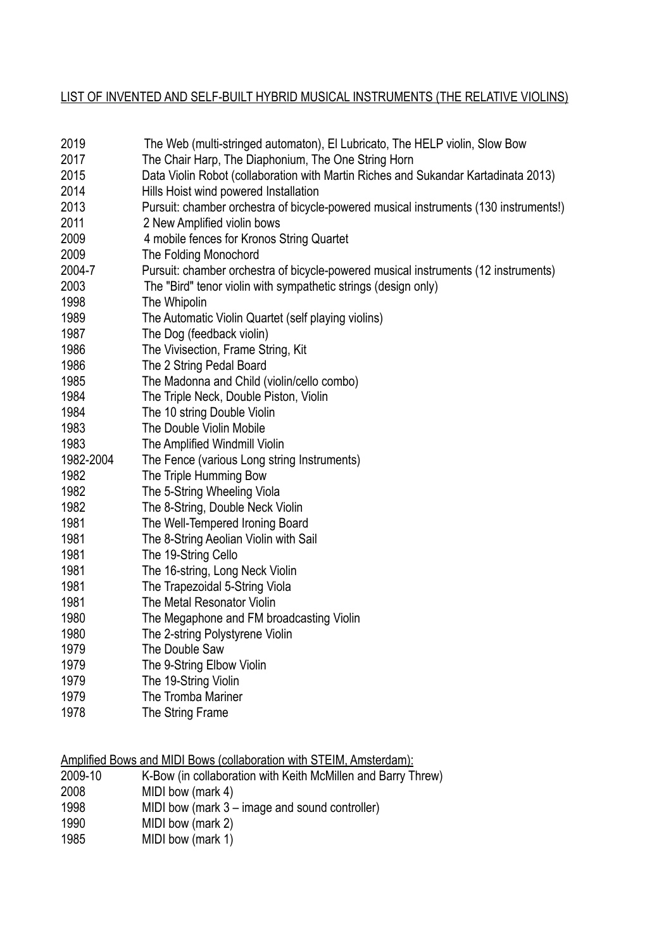# LIST OF INVENTED AND SELF-BUILT HYBRID MUSICAL INSTRUMENTS (THE RELATIVE VIOLINS)

| 2019         | The Web (multi-stringed automaton), El Lubricato, The HELP violin, Slow Bow                                         |
|--------------|---------------------------------------------------------------------------------------------------------------------|
| 2017         | The Chair Harp, The Diaphonium, The One String Horn                                                                 |
| 2015<br>2014 | Data Violin Robot (collaboration with Martin Riches and Sukandar Kartadinata 2013)                                  |
| 2013         | Hills Hoist wind powered Installation                                                                               |
| 2011         | Pursuit: chamber orchestra of bicycle-powered musical instruments (130 instruments!)<br>2 New Amplified violin bows |
| 2009         | 4 mobile fences for Kronos String Quartet                                                                           |
| 2009         | The Folding Monochord                                                                                               |
| 2004-7       | Pursuit: chamber orchestra of bicycle-powered musical instruments (12 instruments)                                  |
| 2003         | The "Bird" tenor violin with sympathetic strings (design only)                                                      |
| 1998         | The Whipolin                                                                                                        |
| 1989         | The Automatic Violin Quartet (self playing violins)                                                                 |
| 1987         | The Dog (feedback violin)                                                                                           |
| 1986         | The Vivisection, Frame String, Kit                                                                                  |
| 1986         | The 2 String Pedal Board                                                                                            |
| 1985         | The Madonna and Child (violin/cello combo)                                                                          |
| 1984         | The Triple Neck, Double Piston, Violin                                                                              |
| 1984         | The 10 string Double Violin                                                                                         |
| 1983         | The Double Violin Mobile                                                                                            |
| 1983         | The Amplified Windmill Violin                                                                                       |
| 1982-2004    | The Fence (various Long string Instruments)                                                                         |
| 1982         | The Triple Humming Bow                                                                                              |
| 1982         | The 5-String Wheeling Viola                                                                                         |
| 1982         | The 8-String, Double Neck Violin                                                                                    |
| 1981         | The Well-Tempered Ironing Board                                                                                     |
| 1981         | The 8-String Aeolian Violin with Sail                                                                               |
| 1981         | The 19-String Cello                                                                                                 |
| 1981         | The 16-string, Long Neck Violin                                                                                     |
| 1981         | The Trapezoidal 5-String Viola                                                                                      |
| 1981         | The Metal Resonator Violin                                                                                          |
| 1980         | The Megaphone and FM broadcasting Violin                                                                            |
| 1980         | The 2-string Polystyrene Violin                                                                                     |
| 1979         | The Double Saw                                                                                                      |
| 1979         | The 9-String Elbow Violin                                                                                           |
| 1979         | The 19-String Violin                                                                                                |
| 1979         | The Tromba Mariner                                                                                                  |
| 1978         | The String Frame                                                                                                    |

Amplified Bows and MIDI Bows (collaboration with STEIM, Amsterdam):<br>2009-10 K-Bow (in collaboration with Keith McMillen and Barry TI

- 2009-10 K-Bow (in collaboration with Keith McMillen and Barry Threw)<br>2008 MIDI bow (mark 4)
- MIDI bow (mark 4)
- 1998 MIDI bow (mark  $3$  image and sound controller)<br>1990 MIDI bow (mark 2)
- MIDI bow (mark 2)
- 1985 MIDI bow (mark 1)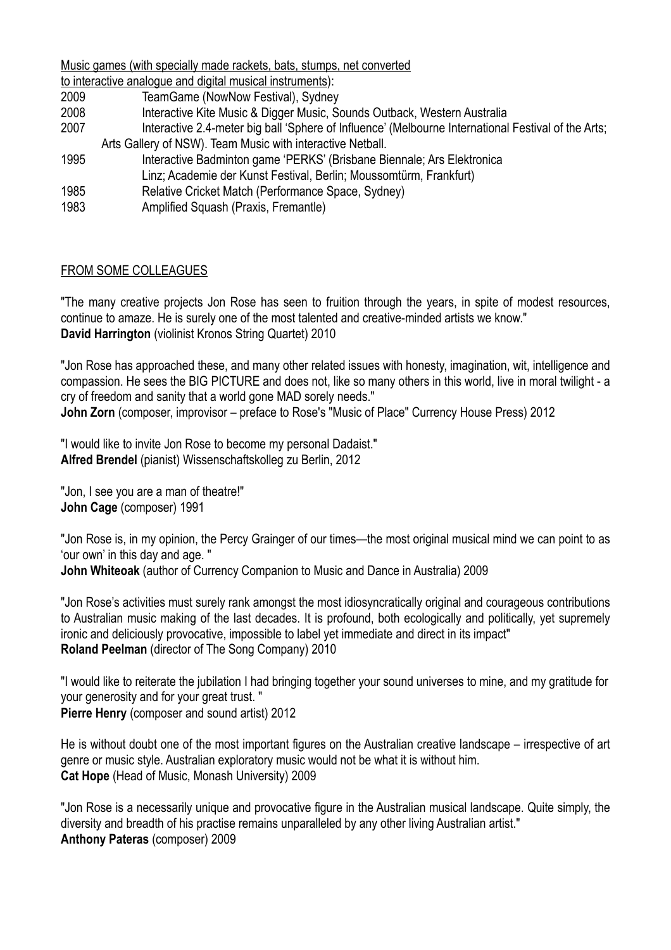Music games (with specially made rackets, bats, stumps, net converted

- to interactive analogue and digital musical instruments): 2009 TeamGame (NowNow Festival), Sydney
- 2008 Interactive Kite Music & Digger Music, Sounds Outback, Western Australia
- 2007 Interactive 2.4-meter big ball 'Sphere of Influence' (Melbourne International Festival of the Arts;
	- Arts Gallery of NSW). Team Music with interactive Netball.
- 1995 Interactive Badminton game 'PERKS' (Brisbane Biennale; Ars Elektronica Linz; Academie der Kunst Festival, Berlin; Moussomtürm, Frankfurt)
- 1985 Relative Cricket Match (Performance Space, Sydney)
- 1983 Amplified Squash (Praxis, Fremantle)

# FROM SOME COLLEAGUES

"The many creative projects Jon Rose has seen to fruition through the years, in spite of modest resources, continue to amaze. He is surely one of the most talented and creative-minded artists we know." **David Harrington** (violinist Kronos String Quartet) 2010

"Jon Rose has approached these, and many other related issues with honesty, imagination, wit, intelligence and compassion. He sees the BIG PICTURE and does not, like so many others in this world, live in moral twilight - a cry of freedom and sanity that a world gone MAD sorely needs."

**John Zorn** (composer, improvisor – preface to Rose's "Music of Place" Currency House Press) 2012

"I would like to invite Jon Rose to become my personal Dadaist." **Alfred Brendel** (pianist) Wissenschaftskolleg zu Berlin, 2012

"Jon, I see you are a man of theatre!" **John Cage** (composer) 1991

"Jon Rose is, in my opinion, the Percy Grainger of our times—the most original musical mind we can point to as 'our own' in this day and age. " **John Whiteoak** (author of Currency Companion to Music and Dance in Australia) 2009

"Jon Rose's activities must surely rank amongst the most idiosyncratically original and courageous contributions to Australian music making of the last decades. It is profound, both ecologically and politically, yet supremely ironic and deliciously provocative, impossible to label yet immediate and direct in its impact" **Roland Peelman** (director of The Song Company) 2010

"I would like to reiterate the jubilation I had bringing together your sound universes to mine, and my gratitude for your generosity and for your great trust. " **Pierre Henry** (composer and sound artist) 2012

He is without doubt one of the most important figures on the Australian creative landscape – irrespective of art genre or music style. Australian exploratory music would not be what it is without him. **Cat Hope** (Head of Music, Monash University) 2009

"Jon Rose is a necessarily unique and provocative figure in the Australian musical landscape. Quite simply, the diversity and breadth of his practise remains unparalleled by any other living Australian artist." **Anthony Pateras** (composer) 2009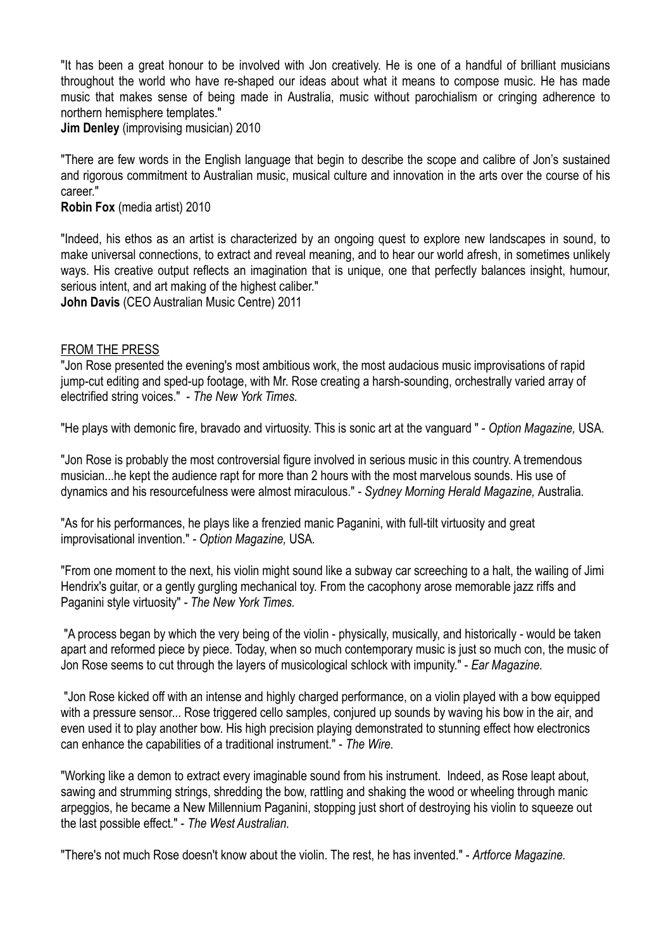"It has been a great honour to be involved with Jon creatively. He is one of a handful of brilliant musicians throughout the world who have re-shaped our ideas about what it means to compose music. He has made music that makes sense of being made in Australia, music without parochialism or cringing adherence to northern hemisphere templates."

**Jim Denley** (improvising musician) 2010

"There are few words in the English language that begin to describe the scope and calibre of Jon's sustained and rigorous commitment to Australian music, musical culture and innovation in the arts over the course of his career."

#### **Robin Fox** (media artist) 2010

"Indeed, his ethos as an artist is characterized by an ongoing quest to explore new landscapes in sound, to make universal connections, to extract and reveal meaning, and to hear our world afresh, in sometimes unlikely ways. His creative output reflects an imagination that is unique, one that perfectly balances insight, humour, serious intent, and art making of the highest caliber."

**John Davis** (CEO Australian Music Centre) 2011

#### FROM THE PRESS

"Jon Rose presented the evening's most ambitious work, the most audacious music improvisations of rapid jump-cut editing and sped-up footage, with Mr. Rose creating a harsh-sounding, orchestrally varied array of electrified string voices." - *The New York Times.* 

"He plays with demonic fire, bravado and virtuosity. This is sonic art at the vanguard " - *Option Magazine,* USA.

"Jon Rose is probably the most controversial figure involved in serious music in this country. A tremendous musician...he kept the audience rapt for more than 2 hours with the most marvelous sounds. His use of dynamics and his resourcefulness were almost miraculous." - *Sydney Morning Herald Magazine,* Australia*.* 

"As for his performances, he plays like a frenzied manic Paganini, with full-tilt virtuosity and great improvisational invention." *- Option Magazine,* USA*.* 

"From one moment to the next, his violin might sound like a subway car screeching to a halt, the wailing of Jimi Hendrix's guitar, or a gently gurgling mechanical toy. From the cacophony arose memorable jazz riffs and Paganini style virtuosity" *- The New York Times.*

 "A process began by which the very being of the violin - physically, musically, and historically - would be taken apart and reformed piece by piece. Today, when so much contemporary music is just so much con, the music of Jon Rose seems to cut through the layers of musicological schlock with impunity." - *Ear Magazine.* 

 "Jon Rose kicked off with an intense and highly charged performance, on a violin played with a bow equipped with a pressure sensor... Rose triggered cello samples, conjured up sounds by waving his bow in the air, and even used it to play another bow. His high precision playing demonstrated to stunning effect how electronics can enhance the capabilities of a traditional instrument." - *The Wire.*

"Working like a demon to extract every imaginable sound from his instrument. Indeed, as Rose leapt about, sawing and strumming strings, shredding the bow, rattling and shaking the wood or wheeling through manic arpeggios, he became a New Millennium Paganini, stopping just short of destroying his violin to squeeze out the last possible effect." - *The West Australian.* 

"There's not much Rose doesn't know about the violin. The rest, he has invented." - *Artforce Magazine.*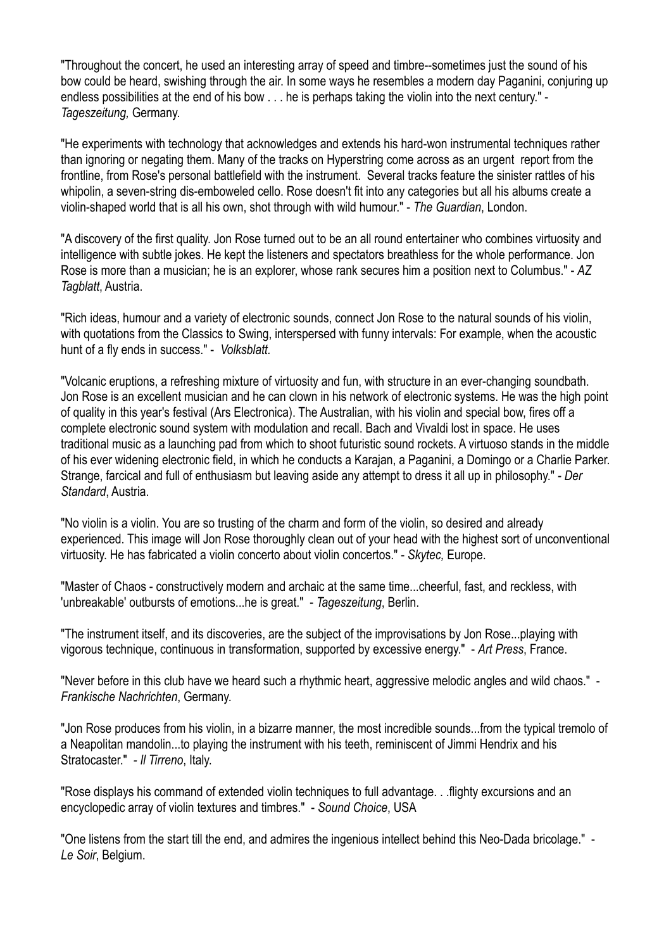"Throughout the concert, he used an interesting array of speed and timbre--sometimes just the sound of his bow could be heard, swishing through the air. In some ways he resembles a modern day Paganini, conjuring up endless possibilities at the end of his bow . . . he is perhaps taking the violin into the next century." - *Tageszeitung,* Germany.

"He experiments with technology that acknowledges and extends his hard-won instrumental techniques rather than ignoring or negating them. Many of the tracks on Hyperstring come across as an urgent report from the frontline, from Rose's personal battlefield with the instrument. Several tracks feature the sinister rattles of his whipolin, a seven-string dis-emboweled cello. Rose doesn't fit into any categories but all his albums create a violin-shaped world that is all his own, shot through with wild humour." - *The Guardian*, London.

"A discovery of the first quality. Jon Rose turned out to be an all round entertainer who combines virtuosity and intelligence with subtle jokes. He kept the listeners and spectators breathless for the whole performance. Jon Rose is more than a musician; he is an explorer, whose rank secures him a position next to Columbus." - *AZ Tagblatt*, Austria.

"Rich ideas, humour and a variety of electronic sounds, connect Jon Rose to the natural sounds of his violin, with quotations from the Classics to Swing, interspersed with funny intervals: For example, when the acoustic hunt of a fly ends in success." - *Volksblatt.*

"Volcanic eruptions, a refreshing mixture of virtuosity and fun, with structure in an ever-changing soundbath. Jon Rose is an excellent musician and he can clown in his network of electronic systems. He was the high point of quality in this year's festival (Ars Electronica). The Australian, with his violin and special bow, fires off a complete electronic sound system with modulation and recall. Bach and Vivaldi lost in space. He uses traditional music as a launching pad from which to shoot futuristic sound rockets. A virtuoso stands in the middle of his ever widening electronic field, in which he conducts a Karajan, a Paganini, a Domingo or a Charlie Parker. Strange, farcical and full of enthusiasm but leaving aside any attempt to dress it all up in philosophy." *- Der Standard*, Austria.

"No violin is a violin. You are so trusting of the charm and form of the violin, so desired and already experienced. This image will Jon Rose thoroughly clean out of your head with the highest sort of unconventional virtuosity. He has fabricated a violin concerto about violin concertos." - *Skytec,* Europe.

"Master of Chaos - constructively modern and archaic at the same time...cheerful, fast, and reckless, with 'unbreakable' outbursts of emotions...he is great." - *Tageszeitung*, Berlin.

"The instrument itself, and its discoveries, are the subject of the improvisations by Jon Rose...playing with vigorous technique, continuous in transformation, supported by excessive energy." - *Art Press*, France.

"Never before in this club have we heard such a rhythmic heart, aggressive melodic angles and wild chaos." - *Frankische Nachrichten*, Germany.

"Jon Rose produces from his violin, in a bizarre manner, the most incredible sounds...from the typical tremolo of a Neapolitan mandolin...to playing the instrument with his teeth, reminiscent of Jimmi Hendrix and his Stratocaster." *- Il Tirreno*, Italy.

"Rose displays his command of extended violin techniques to full advantage. . .flighty excursions and an encyclopedic array of violin textures and timbres." - *Sound Choice*, USA

"One listens from the start till the end, and admires the ingenious intellect behind this Neo-Dada bricolage." - *Le Soir*, Belgium.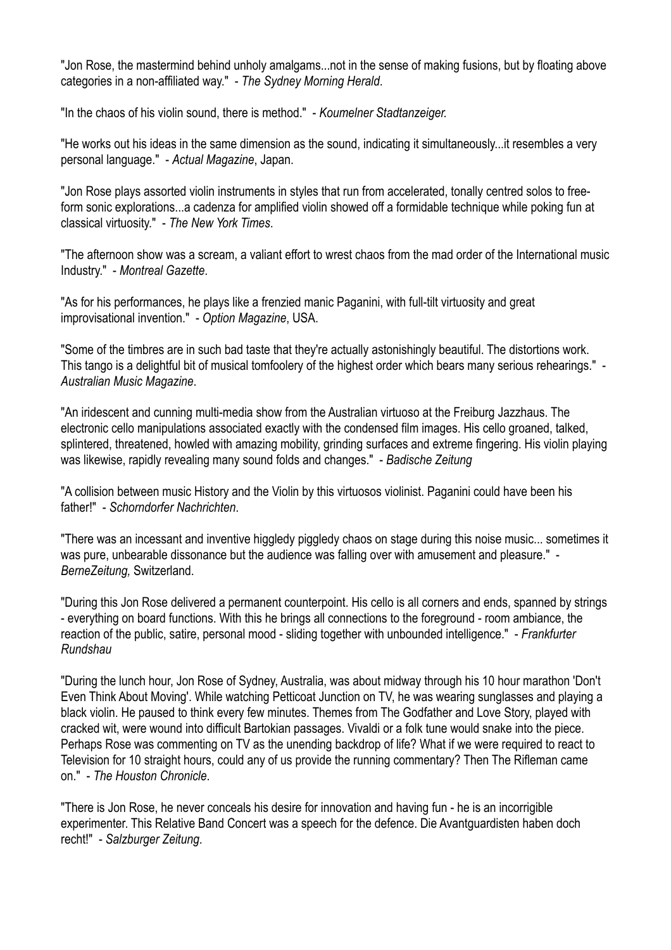"Jon Rose, the mastermind behind unholy amalgams...not in the sense of making fusions, but by floating above categories in a non-affiliated way." - *The Sydney Morning Herald*.

"In the chaos of his violin sound, there is method." - *Koumelner Stadtanzeiger.* 

"He works out his ideas in the same dimension as the sound, indicating it simultaneously...it resembles a very personal language." - *Actual Magazine*, Japan.

"Jon Rose plays assorted violin instruments in styles that run from accelerated, tonally centred solos to freeform sonic explorations...a cadenza for amplified violin showed off a formidable technique while poking fun at classical virtuosity." - *The New York Times*.

"The afternoon show was a scream, a valiant effort to wrest chaos from the mad order of the International music Industry." - *Montreal Gazette*.

"As for his performances, he plays like a frenzied manic Paganini, with full-tilt virtuosity and great improvisational invention." - *Option Magazine*, USA.

"Some of the timbres are in such bad taste that they're actually astonishingly beautiful. The distortions work. This tango is a delightful bit of musical tomfoolery of the highest order which bears many serious rehearings." - *Australian Music Magazine*.

"An iridescent and cunning multi-media show from the Australian virtuoso at the Freiburg Jazzhaus. The electronic cello manipulations associated exactly with the condensed film images. His cello groaned, talked, splintered, threatened, howled with amazing mobility, grinding surfaces and extreme fingering. His violin playing was likewise, rapidly revealing many sound folds and changes." - *Badische Zeitung*

"A collision between music History and the Violin by this virtuosos violinist. Paganini could have been his father!" - *Schorndorfer Nachrichten*.

"There was an incessant and inventive higgledy piggledy chaos on stage during this noise music... sometimes it was pure, unbearable dissonance but the audience was falling over with amusement and pleasure." - *BerneZeitung,* Switzerland.

"During this Jon Rose delivered a permanent counterpoint. His cello is all corners and ends, spanned by strings - everything on board functions. With this he brings all connections to the foreground - room ambiance, the reaction of the public, satire, personal mood - sliding together with unbounded intelligence." - *Frankfurter Rundshau*

"During the lunch hour, Jon Rose of Sydney, Australia, was about midway through his 10 hour marathon 'Don't Even Think About Moving'. While watching Petticoat Junction on TV, he was wearing sunglasses and playing a black violin. He paused to think every few minutes. Themes from The Godfather and Love Story, played with cracked wit, were wound into difficult Bartokian passages. Vivaldi or a folk tune would snake into the piece. Perhaps Rose was commenting on TV as the unending backdrop of life? What if we were required to react to Television for 10 straight hours, could any of us provide the running commentary? Then The Rifleman came on." - *The Houston Chronicle*.

"There is Jon Rose, he never conceals his desire for innovation and having fun - he is an incorrigible experimenter. This Relative Band Concert was a speech for the defence. Die Avantguardisten haben doch recht!" - *Salzburger Zeitung*.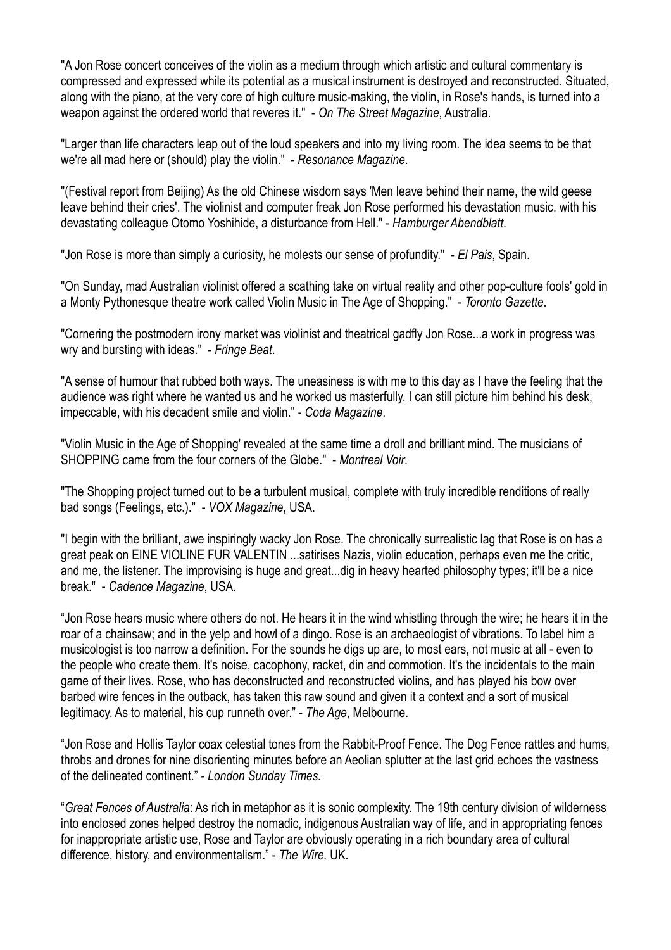"A Jon Rose concert conceives of the violin as a medium through which artistic and cultural commentary is compressed and expressed while its potential as a musical instrument is destroyed and reconstructed. Situated, along with the piano, at the very core of high culture music-making, the violin, in Rose's hands, is turned into a weapon against the ordered world that reveres it." - *On The Street Magazine*, Australia.

"Larger than life characters leap out of the loud speakers and into my living room. The idea seems to be that we're all mad here or (should) play the violin." - *Resonance Magazine*.

"(Festival report from Beijing) As the old Chinese wisdom says 'Men leave behind their name, the wild geese leave behind their cries'. The violinist and computer freak Jon Rose performed his devastation music, with his devastating colleague Otomo Yoshihide, a disturbance from Hell." - *Hamburger Abendblatt*.

"Jon Rose is more than simply a curiosity, he molests our sense of profundity." - *El Pais*, Spain.

"On Sunday, mad Australian violinist offered a scathing take on virtual reality and other pop-culture fools' gold in a Monty Pythonesque theatre work called Violin Music in The Age of Shopping." - *Toronto Gazette*.

"Cornering the postmodern irony market was violinist and theatrical gadfly Jon Rose...a work in progress was wry and bursting with ideas." - *Fringe Beat*.

"A sense of humour that rubbed both ways. The uneasiness is with me to this day as I have the feeling that the audience was right where he wanted us and he worked us masterfully. I can still picture him behind his desk, impeccable, with his decadent smile and violin." - *Coda Magazine*.

"Violin Music in the Age of Shopping' revealed at the same time a droll and brilliant mind. The musicians of SHOPPING came from the four corners of the Globe." - *Montreal Voir*.

"The Shopping project turned out to be a turbulent musical, complete with truly incredible renditions of really bad songs (Feelings, etc.)." - *VOX Magazine*, USA.

"I begin with the brilliant, awe inspiringly wacky Jon Rose. The chronically surrealistic lag that Rose is on has a great peak on EINE VIOLINE FUR VALENTIN ...satirises Nazis, violin education, perhaps even me the critic, and me, the listener. The improvising is huge and great...dig in heavy hearted philosophy types; it'll be a nice break." - *Cadence Magazine*, USA.

"Jon Rose hears music where others do not. He hears it in the wind whistling through the wire; he hears it in the roar of a chainsaw; and in the yelp and howl of a dingo. Rose is an archaeologist of vibrations. To label him a musicologist is too narrow a definition. For the sounds he digs up are, to most ears, not music at all - even to the people who create them. It's noise, cacophony, racket, din and commotion. It's the incidentals to the main game of their lives. Rose, who has deconstructed and reconstructed violins, and has played his bow over barbed wire fences in the outback, has taken this raw sound and given it a context and a sort of musical legitimacy. As to material, his cup runneth over." - *The Age*, Melbourne.

"Jon Rose and Hollis Taylor coax celestial tones from the Rabbit-Proof Fence. The Dog Fence rattles and hums, throbs and drones for nine disorienting minutes before an Aeolian splutter at the last grid echoes the vastness of the delineated continent." *- London Sunday Times.*

"*Great Fences of Australia*: As rich in metaphor as it is sonic complexity. The 19th century division of wilderness into enclosed zones helped destroy the nomadic, indigenous Australian way of life, and in appropriating fences for inappropriate artistic use, Rose and Taylor are obviously operating in a rich boundary area of cultural difference, history, and environmentalism." - *The Wire,* UK.